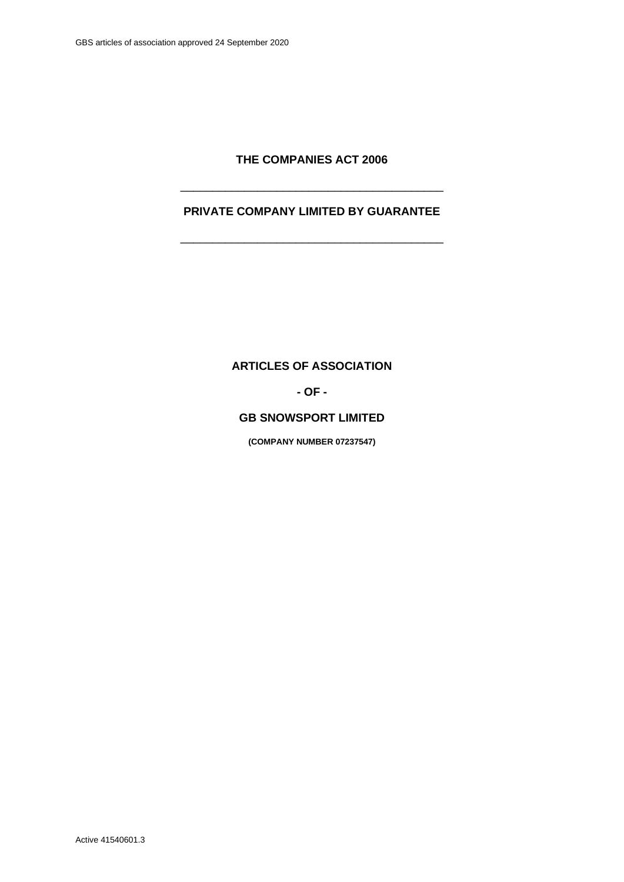# **THE COMPANIES ACT 2006**

# **PRIVATE COMPANY LIMITED BY GUARANTEE**

\_\_\_\_\_\_\_\_\_\_\_\_\_\_\_\_\_\_\_\_\_\_\_\_\_\_\_\_\_\_\_\_\_\_\_\_\_\_\_\_\_

\_\_\_\_\_\_\_\_\_\_\_\_\_\_\_\_\_\_\_\_\_\_\_\_\_\_\_\_\_\_\_\_\_\_\_\_\_\_\_\_\_

**ARTICLES OF ASSOCIATION** 

**- OF -**

# **GB SNOWSPORT LIMITED**

**(COMPANY NUMBER 07237547)**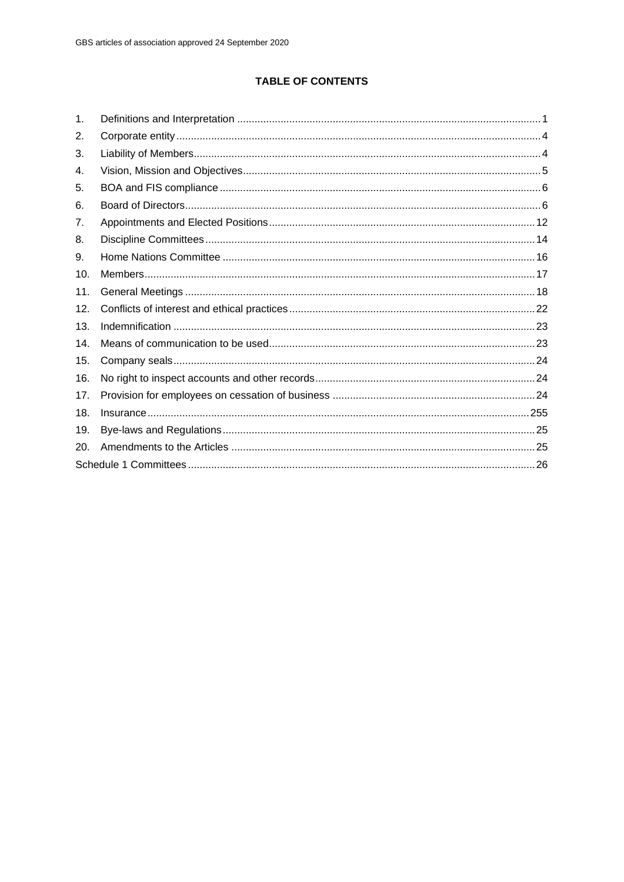# **TABLE OF CONTENTS**

| 1.  |  |
|-----|--|
| 2.  |  |
| 3.  |  |
| 4.  |  |
| 5.  |  |
| 6.  |  |
| 7.  |  |
| 8.  |  |
| 9.  |  |
| 10. |  |
| 11. |  |
| 12. |  |
| 13. |  |
| 14. |  |
| 15. |  |
| 16. |  |
| 17. |  |
| 18. |  |
| 19. |  |
| 20. |  |
|     |  |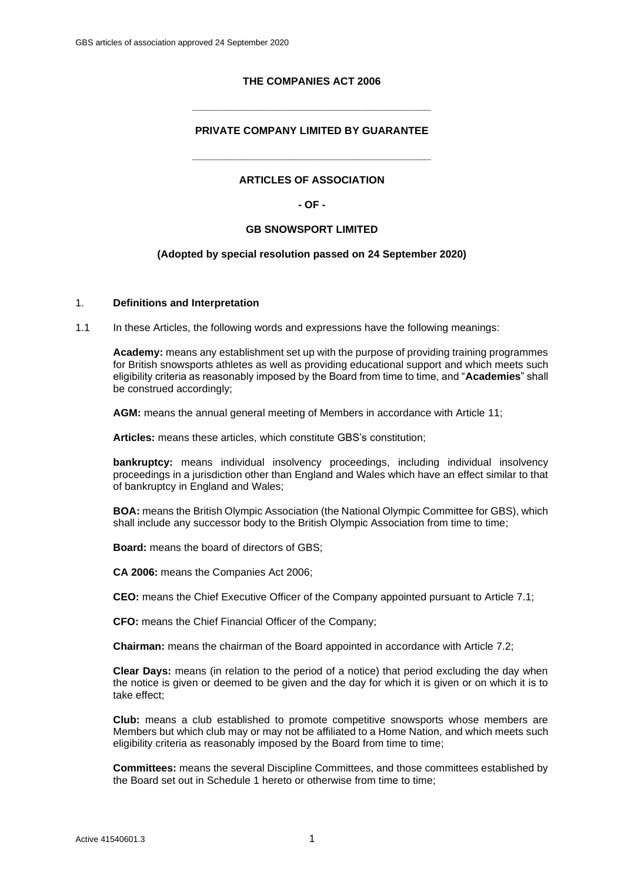# **THE COMPANIES ACT 2006**

# **PRIVATE COMPANY LIMITED BY GUARANTEE**

**\_\_\_\_\_\_\_\_\_\_\_\_\_\_\_\_\_\_\_\_\_\_\_\_\_\_\_\_\_\_\_\_\_\_\_\_\_\_\_\_\_**

# **ARTICLES OF ASSOCIATION**

**\_\_\_\_\_\_\_\_\_\_\_\_\_\_\_\_\_\_\_\_\_\_\_\_\_\_\_\_\_\_\_\_\_\_\_\_\_\_\_\_\_**

#### **- OF -**

#### **GB SNOWSPORT LIMITED**

#### **(Adopted by special resolution passed on 24 September 2020)**

### <span id="page-2-0"></span>1. **Definitions and Interpretation**

1.1 In these Articles, the following words and expressions have the following meanings:

**Academy:** means any establishment set up with the purpose of providing training programmes for British snowsports athletes as well as providing educational support and which meets such eligibility criteria as reasonably imposed by the Board from time to time, and "**Academies**" shall be construed accordingly;

**AGM:** means the annual general meeting of Members in accordance with Article [11;](#page-19-0)

**Articles:** means these articles, which constitute GBS's constitution;

**bankruptcy:** means individual insolvency proceedings, including individual insolvency proceedings in a jurisdiction other than England and Wales which have an effect similar to that of bankruptcy in England and Wales;

**BOA:** means the British Olympic Association (the National Olympic Committee for GBS), which shall include any successor body to the British Olympic Association from time to time;

**Board:** means the board of directors of GBS;

**CA 2006:** means the Companies Act 2006;

**CEO:** means the Chief Executive Officer of the Company appointed pursuant to Article [7.1;](#page-13-1)

**CFO:** means the Chief Financial Officer of the Company;

**Chairman:** means the chairman of the Board appointed in accordance with Article [7.2;](#page-13-2)

**Clear Days:** means (in relation to the period of a notice) that period excluding the day when the notice is given or deemed to be given and the day for which it is given or on which it is to take effect;

**Club:** means a club established to promote competitive snowsports whose members are Members but which club may or may not be affiliated to a Home Nation, and which meets such eligibility criteria as reasonably imposed by the Board from time to time;

**Committees:** means the several Discipline Committees, and those committees established by the Board set out in [Schedule 1](#page-27-0) hereto or otherwise from time to time;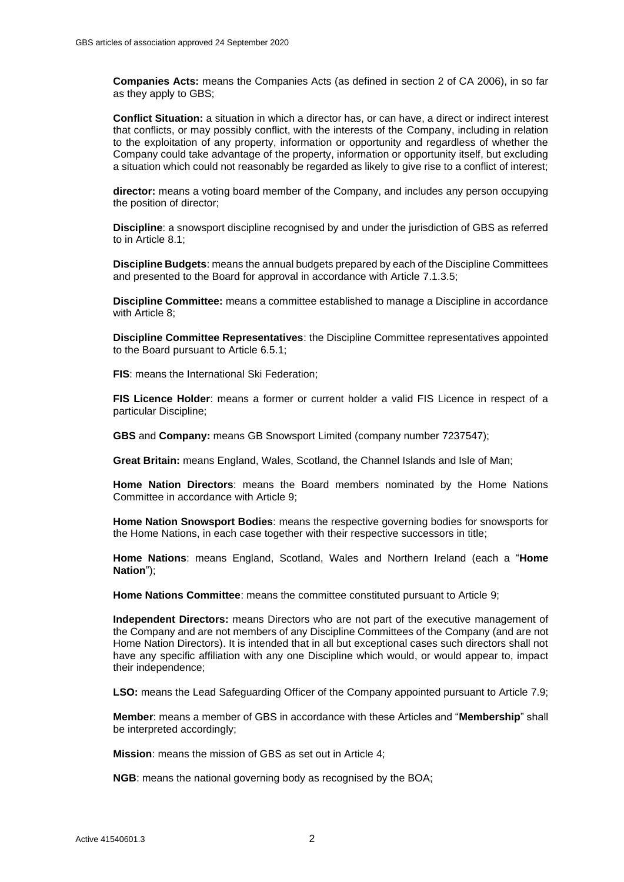**Companies Acts:** means the Companies Acts (as defined in section 2 of CA 2006), in so far as they apply to GBS;

**Conflict Situation:** a situation in which a director has, or can have, a direct or indirect interest that conflicts, or may possibly conflict, with the interests of the Company, including in relation to the exploitation of any property, information or opportunity and regardless of whether the Company could take advantage of the property, information or opportunity itself, but excluding a situation which could not reasonably be regarded as likely to give rise to a conflict of interest;

**director:** means a voting board member of the Company, and includes any person occupying the position of director;

**Discipline**: a snowsport discipline recognised by and under the jurisdiction of GBS as referred to in Article [8.1;](#page-15-1)

**Discipline Budgets**: means the annual budgets prepared by each of the Discipline Committees and presented to the Board for approval in accordance with Article [7.1.3.5;](#page-13-3)

**Discipline Committee:** means a committee established to manage a Discipline in accordance with Article 8:

**Discipline Committee Representatives**: the Discipline Committee representatives appointed to the Board pursuant to Article [6.5.1;](#page-9-0)

**FIS**: means the International Ski Federation;

**FIS Licence Holder**: means a former or current holder a valid FIS Licence in respect of a particular Discipline;

**GBS** and **Company:** means GB Snowsport Limited (company number 7237547);

**Great Britain:** means England, Wales, Scotland, the Channel Islands and Isle of Man;

**Home Nation Directors**: means the Board members nominated by the Home Nations Committee in accordance with Article [9;](#page-17-0)

**Home Nation Snowsport Bodies**: means the respective governing bodies for snowsports for the Home Nations, in each case together with their respective successors in title;

**Home Nations**: means England, Scotland, Wales and Northern Ireland (each a "**Home Nation**");

**Home Nations Committee**: means the committee constituted pursuant to Article [9;](#page-17-0)

**Independent Directors:** means Directors who are not part of the executive management of the Company and are not members of any Discipline Committees of the Company (and are not Home Nation Directors). It is intended that in all but exceptional cases such directors shall not have any specific affiliation with any one Discipline which would, or would appear to, impact their independence;

**LSO:** means the Lead Safeguarding Officer of the Company appointed pursuant to Article [7.9;](#page-15-2)

**Member**: means a member of GBS in accordance with these Articles and "**Membership**" shall be interpreted accordingly;

**Mission**: means the mission of GBS as set out in Article [4;](#page-6-0)

**NGB**: means the national governing body as recognised by the BOA;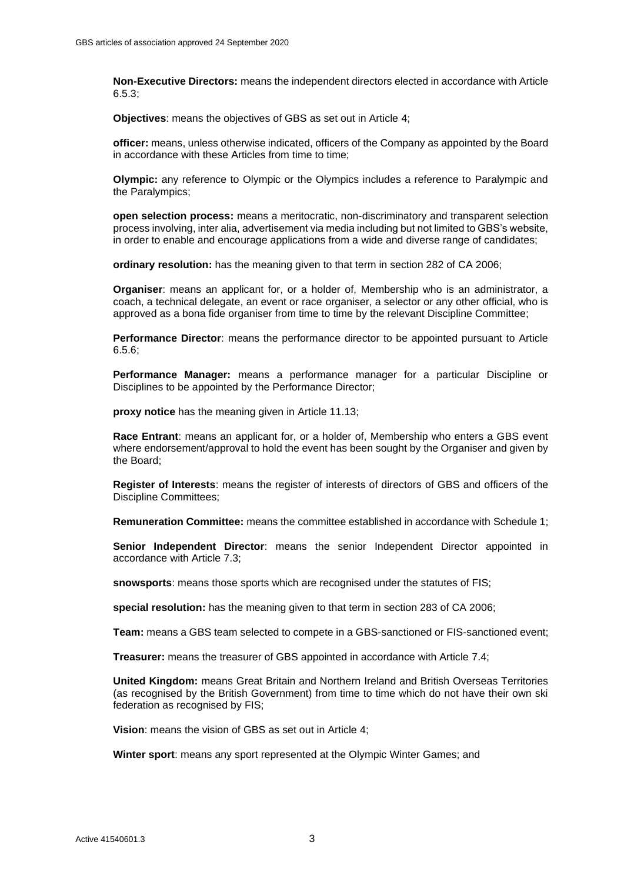**Non-Executive Directors:** means the independent directors elected in accordance with Article [6.5.](#page-8-0)3;

**Objectives**: means the objectives of GBS as set out in Article [4;](#page-6-0)

**officer:** means, unless otherwise indicated, officers of the Company as appointed by the Board in accordance with these Articles from time to time;

**Olympic:** any reference to Olympic or the Olympics includes a reference to Paralympic and the Paralympics;

**open selection process:** means a meritocratic, non-discriminatory and transparent selection process involving, inter alia, advertisement via media including but not limited to GBS's website, in order to enable and encourage applications from a wide and diverse range of candidates;

**ordinary resolution:** has the meaning given to that term in section 282 of CA 2006;

**Organiser**: means an applicant for, or a holder of, Membership who is an administrator, a coach, a technical delegate, an event or race organiser, a selector or any other official, who is approved as a bona fide organiser from time to time by the relevant Discipline Committee;

**Performance Director**: means the performance director to be appointed pursuant to Article [6.5.6;](#page-9-1)

**Performance Manager:** means a performance manager for a particular Discipline or Disciplines to be appointed by the Performance Director;

**proxy notice** has the meaning given in Article [11.13;](#page-22-0)

**Race Entrant**: means an applicant for, or a holder of, Membership who enters a GBS event where endorsement/approval to hold the event has been sought by the Organiser and given by the Board;

**Register of Interests**: means the register of interests of directors of GBS and officers of the Discipline Committees;

**Remuneration Committee:** means the committee established in accordance with [Schedule 1;](#page-27-0)

**Senior Independent Director**: means the senior Independent Director appointed in accordance with Article [7.3;](#page-14-0)

**snowsports**: means those sports which are recognised under the statutes of FIS;

**special resolution:** has the meaning given to that term in section 283 of CA 2006;

**Team:** means a GBS team selected to compete in a GBS-sanctioned or FIS-sanctioned event;

**Treasurer:** means the treasurer of GBS appointed in accordance with Article [7.4;](#page-14-1)

**United Kingdom:** means Great Britain and Northern Ireland and British Overseas Territories (as recognised by the British Government) from time to time which do not have their own ski federation as recognised by FIS;

**Vision**: means the vision of GBS as set out in Article [4;](#page-6-0)

**Winter sport**: means any sport represented at the Olympic Winter Games; and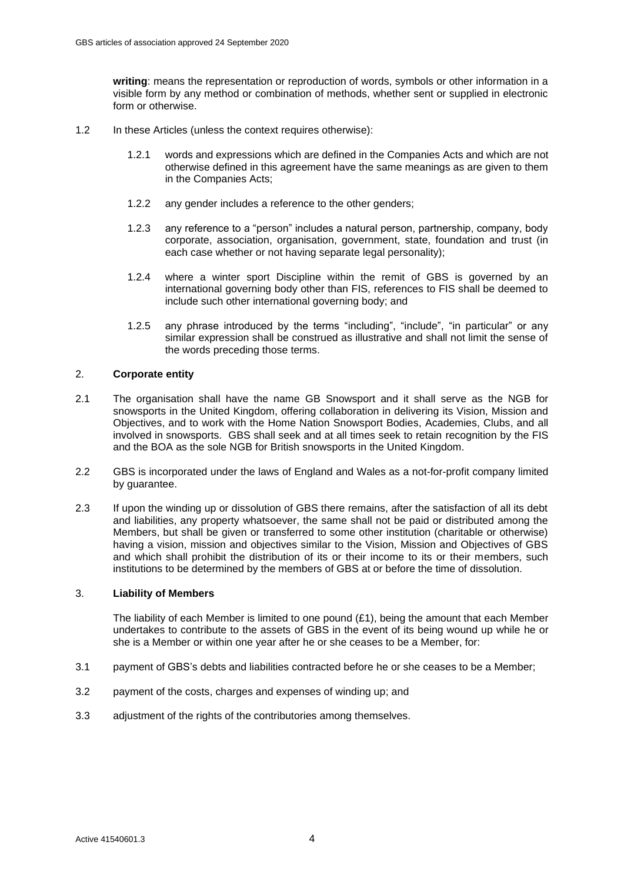**writing**: means the representation or reproduction of words, symbols or other information in a visible form by any method or combination of methods, whether sent or supplied in electronic form or otherwise.

- 1.2 In these Articles (unless the context requires otherwise):
	- 1.2.1 words and expressions which are defined in the Companies Acts and which are not otherwise defined in this agreement have the same meanings as are given to them in the Companies Acts;
	- 1.2.2 any gender includes a reference to the other genders;
	- 1.2.3 any reference to a "person" includes a natural person, partnership, company, body corporate, association, organisation, government, state, foundation and trust (in each case whether or not having separate legal personality);
	- 1.2.4 where a winter sport Discipline within the remit of GBS is governed by an international governing body other than FIS, references to FIS shall be deemed to include such other international governing body; and
	- 1.2.5 any phrase introduced by the terms "including", "include", "in particular" or any similar expression shall be construed as illustrative and shall not limit the sense of the words preceding those terms.

# <span id="page-5-0"></span>2. **Corporate entity**

- 2.1 The organisation shall have the name GB Snowsport and it shall serve as the NGB for snowsports in the United Kingdom, offering collaboration in delivering its Vision, Mission and Objectives, and to work with the Home Nation Snowsport Bodies, Academies, Clubs, and all involved in snowsports. GBS shall seek and at all times seek to retain recognition by the FIS and the BOA as the sole NGB for British snowsports in the United Kingdom.
- 2.2 GBS is incorporated under the laws of England and Wales as a not-for-profit company limited by guarantee.
- 2.3 If upon the winding up or dissolution of GBS there remains, after the satisfaction of all its debt and liabilities, any property whatsoever, the same shall not be paid or distributed among the Members, but shall be given or transferred to some other institution (charitable or otherwise) having a vision, mission and objectives similar to the Vision, Mission and Objectives of GBS and which shall prohibit the distribution of its or their income to its or their members, such institutions to be determined by the members of GBS at or before the time of dissolution.

# <span id="page-5-1"></span>3. **Liability of Members**

The liability of each Member is limited to one pound  $(E1)$ , being the amount that each Member undertakes to contribute to the assets of GBS in the event of its being wound up while he or she is a Member or within one year after he or she ceases to be a Member, for:

- 3.1 payment of GBS's debts and liabilities contracted before he or she ceases to be a Member;
- 3.2 payment of the costs, charges and expenses of winding up; and
- 3.3 adjustment of the rights of the contributories among themselves.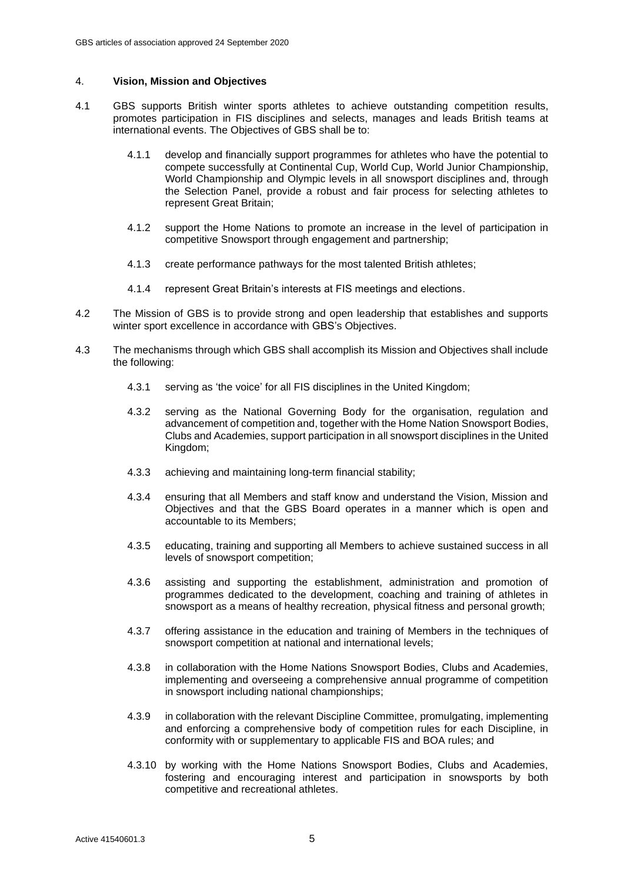# <span id="page-6-0"></span>4. **Vision, Mission and Objectives**

- 4.1 GBS supports British winter sports athletes to achieve outstanding competition results, promotes participation in FIS disciplines and selects, manages and leads British teams at international events. The Objectives of GBS shall be to:
	- 4.1.1 develop and financially support programmes for athletes who have the potential to compete successfully at Continental Cup, World Cup, World Junior Championship, World Championship and Olympic levels in all snowsport disciplines and, through the Selection Panel, provide a robust and fair process for selecting athletes to represent Great Britain;
	- 4.1.2 support the Home Nations to promote an increase in the level of participation in competitive Snowsport through engagement and partnership;
	- 4.1.3 create performance pathways for the most talented British athletes;
	- 4.1.4 represent Great Britain's interests at FIS meetings and elections.
- 4.2 The Mission of GBS is to provide strong and open leadership that establishes and supports winter sport excellence in accordance with GBS's Objectives.
- 4.3 The mechanisms through which GBS shall accomplish its Mission and Objectives shall include the following:
	- 4.3.1 serving as 'the voice' for all FIS disciplines in the United Kingdom;
	- 4.3.2 serving as the National Governing Body for the organisation, regulation and advancement of competition and, together with the Home Nation Snowsport Bodies, Clubs and Academies, support participation in all snowsport disciplines in the United Kingdom;
	- 4.3.3 achieving and maintaining long-term financial stability;
	- 4.3.4 ensuring that all Members and staff know and understand the Vision, Mission and Objectives and that the GBS Board operates in a manner which is open and accountable to its Members;
	- 4.3.5 educating, training and supporting all Members to achieve sustained success in all levels of snowsport competition;
	- 4.3.6 assisting and supporting the establishment, administration and promotion of programmes dedicated to the development, coaching and training of athletes in snowsport as a means of healthy recreation, physical fitness and personal growth;
	- 4.3.7 offering assistance in the education and training of Members in the techniques of snowsport competition at national and international levels;
	- 4.3.8 in collaboration with the Home Nations Snowsport Bodies, Clubs and Academies, implementing and overseeing a comprehensive annual programme of competition in snowsport including national championships;
	- 4.3.9 in collaboration with the relevant Discipline Committee, promulgating, implementing and enforcing a comprehensive body of competition rules for each Discipline, in conformity with or supplementary to applicable FIS and BOA rules; and
	- 4.3.10 by working with the Home Nations Snowsport Bodies, Clubs and Academies, fostering and encouraging interest and participation in snowsports by both competitive and recreational athletes.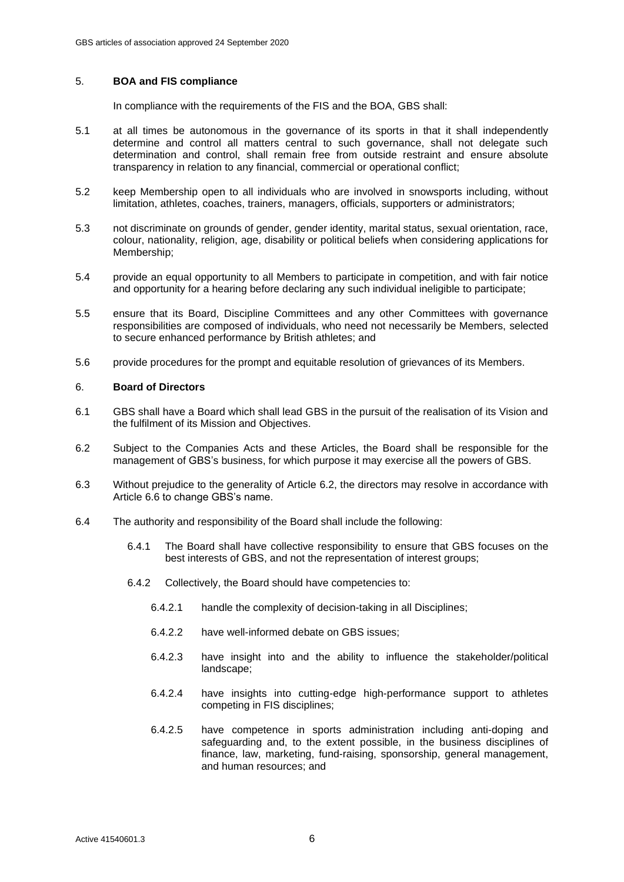# <span id="page-7-0"></span>5. **BOA and FIS compliance**

In compliance with the requirements of the FIS and the BOA, GBS shall:

- <span id="page-7-3"></span>5.1 at all times be autonomous in the governance of its sports in that it shall independently determine and control all matters central to such governance, shall not delegate such determination and control, shall remain free from outside restraint and ensure absolute transparency in relation to any financial, commercial or operational conflict;
- 5.2 keep Membership open to all individuals who are involved in snowsports including, without limitation, athletes, coaches, trainers, managers, officials, supporters or administrators;
- 5.3 not discriminate on grounds of gender, gender identity, marital status, sexual orientation, race, colour, nationality, religion, age, disability or political beliefs when considering applications for Membership;
- 5.4 provide an equal opportunity to all Members to participate in competition, and with fair notice and opportunity for a hearing before declaring any such individual ineligible to participate;
- 5.5 ensure that its Board, Discipline Committees and any other Committees with governance responsibilities are composed of individuals, who need not necessarily be Members, selected to secure enhanced performance by British athletes; and
- 5.6 provide procedures for the prompt and equitable resolution of grievances of its Members.

# <span id="page-7-1"></span>6. **Board of Directors**

- 6.1 GBS shall have a Board which shall lead GBS in the pursuit of the realisation of its Vision and the fulfilment of its Mission and Objectives.
- <span id="page-7-2"></span>6.2 Subject to the Companies Acts and these Articles, the Board shall be responsible for the management of GBS's business, for which purpose it may exercise all the powers of GBS.
- 6.3 Without prejudice to the generality of Article [6.2,](#page-7-2) the directors may resolve in accordance with Article [6.6](#page-9-2) to change GBS's name.
- 6.4 The authority and responsibility of the Board shall include the following:
	- 6.4.1 The Board shall have collective responsibility to ensure that GBS focuses on the best interests of GBS, and not the representation of interest groups;
	- 6.4.2 Collectively, the Board should have competencies to:
		- 6.4.2.1 handle the complexity of decision-taking in all Disciplines;
		- 6.4.2.2 have well-informed debate on GBS issues;
		- 6.4.2.3 have insight into and the ability to influence the stakeholder/political landscape;
		- 6.4.2.4 have insights into cutting-edge high-performance support to athletes competing in FIS disciplines;
		- 6.4.2.5 have competence in sports administration including anti-doping and safeguarding and, to the extent possible, in the business disciplines of finance, law, marketing, fund-raising, sponsorship, general management, and human resources; and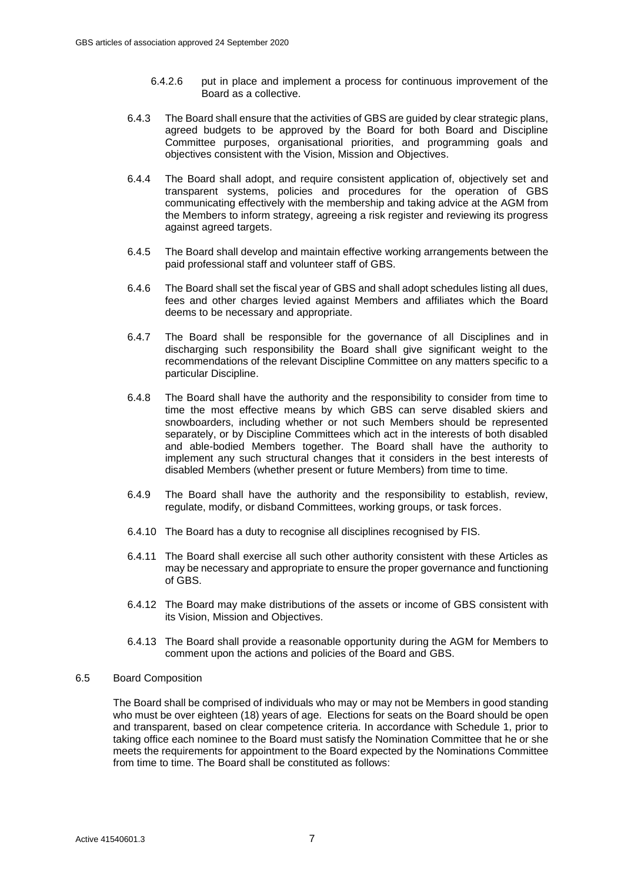- 6.4.2.6 put in place and implement a process for continuous improvement of the Board as a collective.
- 6.4.3 The Board shall ensure that the activities of GBS are guided by clear strategic plans, agreed budgets to be approved by the Board for both Board and Discipline Committee purposes, organisational priorities, and programming goals and objectives consistent with the Vision, Mission and Objectives.
- 6.4.4 The Board shall adopt, and require consistent application of, objectively set and transparent systems, policies and procedures for the operation of GBS communicating effectively with the membership and taking advice at the AGM from the Members to inform strategy, agreeing a risk register and reviewing its progress against agreed targets.
- 6.4.5 The Board shall develop and maintain effective working arrangements between the paid professional staff and volunteer staff of GBS.
- 6.4.6 The Board shall set the fiscal year of GBS and shall adopt schedules listing all dues, fees and other charges levied against Members and affiliates which the Board deems to be necessary and appropriate.
- 6.4.7 The Board shall be responsible for the governance of all Disciplines and in discharging such responsibility the Board shall give significant weight to the recommendations of the relevant Discipline Committee on any matters specific to a particular Discipline.
- 6.4.8 The Board shall have the authority and the responsibility to consider from time to time the most effective means by which GBS can serve disabled skiers and snowboarders, including whether or not such Members should be represented separately, or by Discipline Committees which act in the interests of both disabled and able-bodied Members together. The Board shall have the authority to implement any such structural changes that it considers in the best interests of disabled Members (whether present or future Members) from time to time.
- 6.4.9 The Board shall have the authority and the responsibility to establish, review, regulate, modify, or disband Committees, working groups, or task forces.
- 6.4.10 The Board has a duty to recognise all disciplines recognised by FIS.
- 6.4.11 The Board shall exercise all such other authority consistent with these Articles as may be necessary and appropriate to ensure the proper governance and functioning of GBS.
- 6.4.12 The Board may make distributions of the assets or income of GBS consistent with its Vision, Mission and Objectives.
- 6.4.13 The Board shall provide a reasonable opportunity during the AGM for Members to comment upon the actions and policies of the Board and GBS.

#### <span id="page-8-0"></span>6.5 Board Composition

The Board shall be comprised of individuals who may or may not be Members in good standing who must be over eighteen (18) years of age. Elections for seats on the Board should be open and transparent, based on clear competence criteria. In accordance with Schedule 1, prior to taking office each nominee to the Board must satisfy the Nomination Committee that he or she meets the requirements for appointment to the Board expected by the Nominations Committee from time to time. The Board shall be constituted as follows: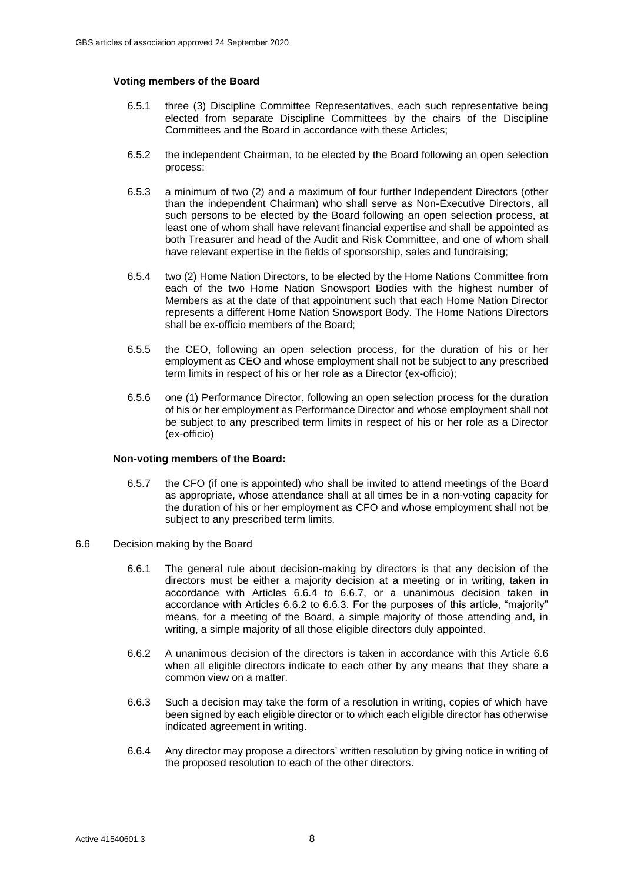### <span id="page-9-0"></span>**Voting members of the Board**

- 6.5.1 three (3) Discipline Committee Representatives, each such representative being elected from separate Discipline Committees by the chairs of the Discipline Committees and the Board in accordance with these Articles;
- <span id="page-9-6"></span>6.5.2 the independent Chairman, to be elected by the Board following an open selection process;
- <span id="page-9-7"></span>6.5.3 a minimum of two (2) and a maximum of four further Independent Directors (other than the independent Chairman) who shall serve as Non-Executive Directors, all such persons to be elected by the Board following an open selection process, at least one of whom shall have relevant financial expertise and shall be appointed as both Treasurer and head of the Audit and Risk Committee, and one of whom shall have relevant expertise in the fields of sponsorship, sales and fundraising;
- <span id="page-9-8"></span>6.5.4 two (2) Home Nation Directors, to be elected by the Home Nations Committee from each of the two Home Nation Snowsport Bodies with the highest number of Members as at the date of that appointment such that each Home Nation Director represents a different Home Nation Snowsport Body. The Home Nations Directors shall be ex-officio members of the Board;
- 6.5.5 the CEO, following an open selection process, for the duration of his or her employment as CEO and whose employment shall not be subject to any prescribed term limits in respect of his or her role as a Director (ex-officio);
- <span id="page-9-1"></span>6.5.6 one (1) Performance Director, following an open selection process for the duration of his or her employment as Performance Director and whose employment shall not be subject to any prescribed term limits in respect of his or her role as a Director (ex-officio)

#### **Non-voting members of the Board:**

- 6.5.7 the CFO (if one is appointed) who shall be invited to attend meetings of the Board as appropriate, whose attendance shall at all times be in a non-voting capacity for the duration of his or her employment as CFO and whose employment shall not be subject to any prescribed term limits.
- <span id="page-9-5"></span><span id="page-9-4"></span><span id="page-9-3"></span><span id="page-9-2"></span>6.6 Decision making by the Board
	- 6.6.1 The general rule about decision-making by directors is that any decision of the directors must be either a majority decision at a meeting or in writing, taken in accordance with Articles [6.6.4](#page-9-3) to [6.6.7,](#page-10-0) or a unanimous decision taken in accordance with Articles [6.6.2](#page-9-4) to [6.6.3.](#page-9-5) For the purposes of this article, "majority" means, for a meeting of the Board, a simple majority of those attending and, in writing, a simple majority of all those eligible directors duly appointed.
	- 6.6.2 A unanimous decision of the directors is taken in accordance with this Article [6.6](#page-9-2) when all eligible directors indicate to each other by any means that they share a common view on a matter.
	- 6.6.3 Such a decision may take the form of a resolution in writing, copies of which have been signed by each eligible director or to which each eligible director has otherwise indicated agreement in writing.
	- 6.6.4 Any director may propose a directors' written resolution by giving notice in writing of the proposed resolution to each of the other directors.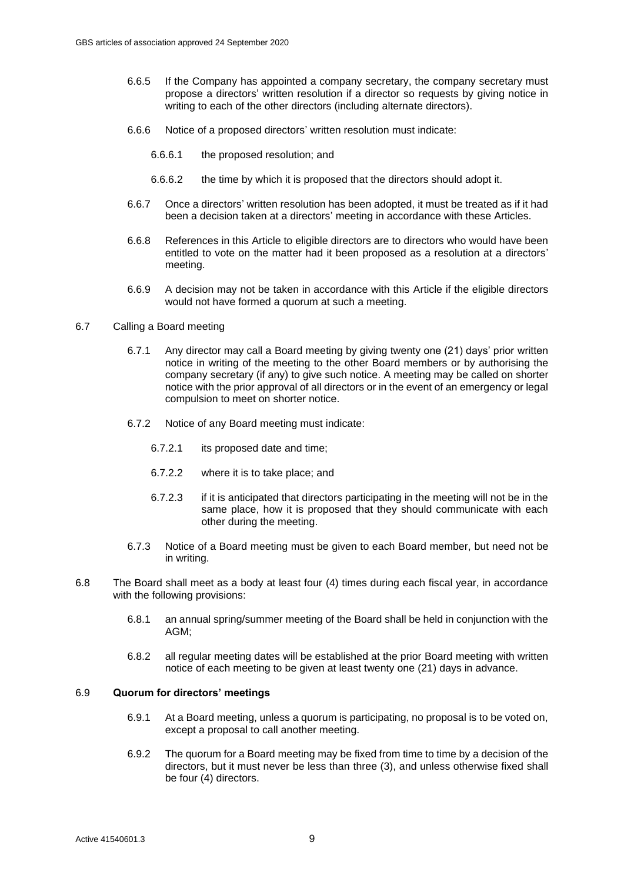- 6.6.5 If the Company has appointed a company secretary, the company secretary must propose a directors' written resolution if a director so requests by giving notice in writing to each of the other directors (including alternate directors).
- 6.6.6 Notice of a proposed directors' written resolution must indicate:
	- 6.6.6.1 the proposed resolution; and
	- 6.6.6.2 the time by which it is proposed that the directors should adopt it.
- <span id="page-10-0"></span>6.6.7 Once a directors' written resolution has been adopted, it must be treated as if it had been a decision taken at a directors' meeting in accordance with these Articles.
- 6.6.8 References in this Article to eligible directors are to directors who would have been entitled to vote on the matter had it been proposed as a resolution at a directors' meeting.
- 6.6.9 A decision may not be taken in accordance with this Article if the eligible directors would not have formed a quorum at such a meeting.
- 6.7 Calling a Board meeting
	- 6.7.1 Any director may call a Board meeting by giving twenty one (21) days' prior written notice in writing of the meeting to the other Board members or by authorising the company secretary (if any) to give such notice. A meeting may be called on shorter notice with the prior approval of all directors or in the event of an emergency or legal compulsion to meet on shorter notice.
	- 6.7.2 Notice of any Board meeting must indicate:
		- 6.7.2.1 its proposed date and time;
		- 6.7.2.2 where it is to take place; and
		- 6.7.2.3 if it is anticipated that directors participating in the meeting will not be in the same place, how it is proposed that they should communicate with each other during the meeting.
	- 6.7.3 Notice of a Board meeting must be given to each Board member, but need not be in writing.
- 6.8 The Board shall meet as a body at least four (4) times during each fiscal year, in accordance with the following provisions:
	- 6.8.1 an annual spring/summer meeting of the Board shall be held in conjunction with the AGM;
	- 6.8.2 all regular meeting dates will be established at the prior Board meeting with written notice of each meeting to be given at least twenty one (21) days in advance.

# 6.9 **Quorum for directors' meetings**

- 6.9.1 At a Board meeting, unless a quorum is participating, no proposal is to be voted on, except a proposal to call another meeting.
- 6.9.2 The quorum for a Board meeting may be fixed from time to time by a decision of the directors, but it must never be less than three (3), and unless otherwise fixed shall be four (4) directors.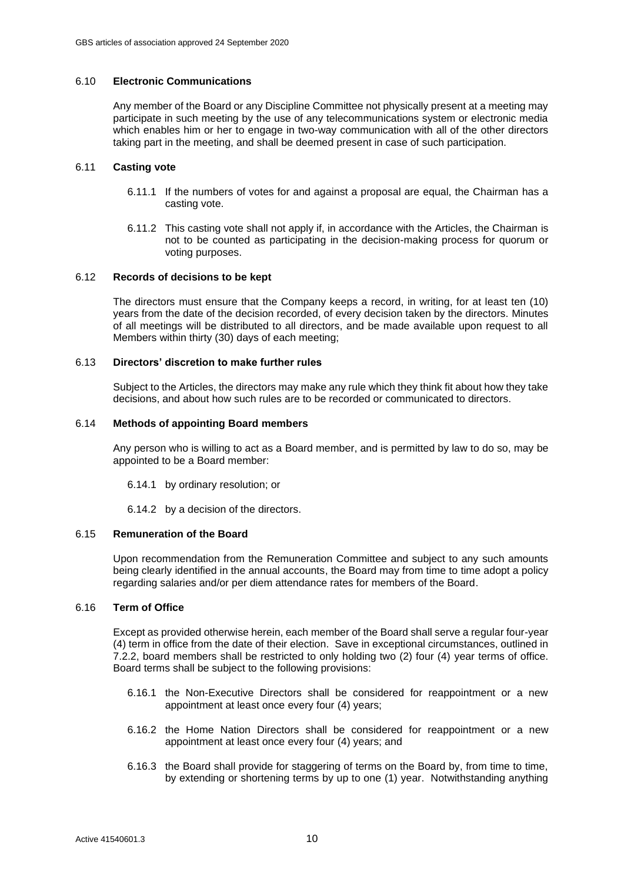# 6.10 **Electronic Communications**

Any member of the Board or any Discipline Committee not physically present at a meeting may participate in such meeting by the use of any telecommunications system or electronic media which enables him or her to engage in two-way communication with all of the other directors taking part in the meeting, and shall be deemed present in case of such participation.

# 6.11 **Casting vote**

- 6.11.1 If the numbers of votes for and against a proposal are equal, the Chairman has a casting vote.
- 6.11.2 This casting vote shall not apply if, in accordance with the Articles, the Chairman is not to be counted as participating in the decision-making process for quorum or voting purposes.

#### 6.12 **Records of decisions to be kept**

The directors must ensure that the Company keeps a record, in writing, for at least ten (10) years from the date of the decision recorded, of every decision taken by the directors. Minutes of all meetings will be distributed to all directors, and be made available upon request to all Members within thirty (30) days of each meeting;

# 6.13 **Directors' discretion to make further rules**

Subject to the Articles, the directors may make any rule which they think fit about how they take decisions, and about how such rules are to be recorded or communicated to directors.

#### 6.14 **Methods of appointing Board members**

Any person who is willing to act as a Board member, and is permitted by law to do so, may be appointed to be a Board member:

6.14.1 by ordinary resolution; or

6.14.2 by a decision of the directors.

#### <span id="page-11-0"></span>6.15 **Remuneration of the Board**

Upon recommendation from the Remuneration Committee and subject to any such amounts being clearly identified in the annual accounts, the Board may from time to time adopt a policy regarding salaries and/or per diem attendance rates for members of the Board.

#### 6.16 **Term of Office**

Except as provided otherwise herein, each member of the Board shall serve a regular four-year (4) term in office from the date of their election. Save in exceptional circumstances, outlined in 7.2.2, board members shall be restricted to only holding two (2) four (4) year terms of office. Board terms shall be subject to the following provisions:

- 6.16.1 the Non-Executive Directors shall be considered for reappointment or a new appointment at least once every four (4) years;
- 6.16.2 the Home Nation Directors shall be considered for reappointment or a new appointment at least once every four (4) years; and
- 6.16.3 the Board shall provide for staggering of terms on the Board by, from time to time, by extending or shortening terms by up to one (1) year. Notwithstanding anything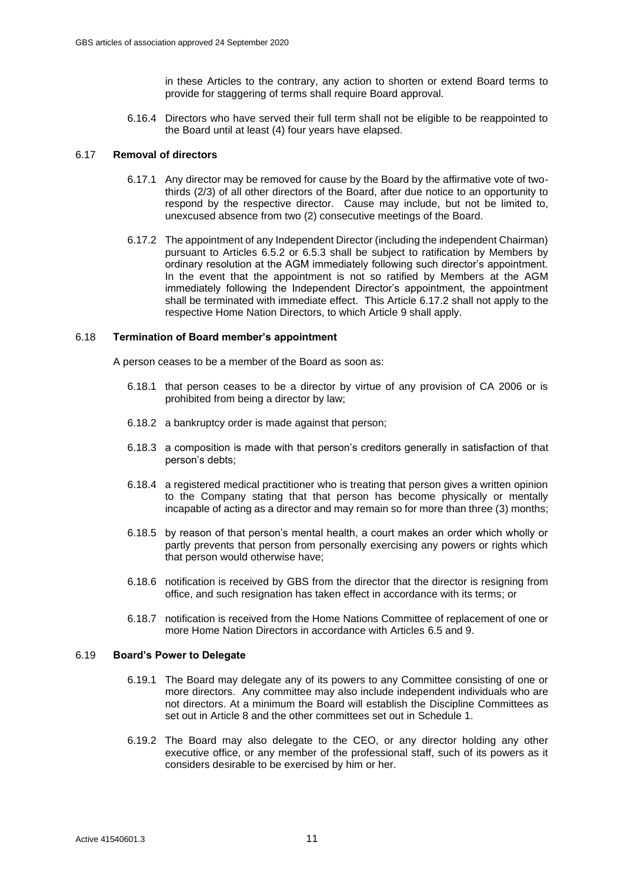in these Articles to the contrary, any action to shorten or extend Board terms to provide for staggering of terms shall require Board approval.

6.16.4 Directors who have served their full term shall not be eligible to be reappointed to the Board until at least (4) four years have elapsed.

# 6.17 **Removal of directors**

- 6.17.1 Any director may be removed for cause by the Board by the affirmative vote of twothirds (2/3) of all other directors of the Board, after due notice to an opportunity to respond by the respective director. Cause may include, but not be limited to, unexcused absence from two (2) consecutive meetings of the Board.
- <span id="page-12-0"></span>6.17.2 The appointment of any Independent Director (including the independent Chairman) pursuant to Articles [6.5.2](#page-9-6) or [6.5.3](#page-9-7) shall be subject to ratification by Members by ordinary resolution at the AGM immediately following such director's appointment. In the event that the appointment is not so ratified by Members at the AGM immediately following the Independent Director's appointment, the appointment shall be terminated with immediate effect. This Article [6.17.2](#page-12-0) shall not apply to the respective Home Nation Directors, to which Article [9](#page-17-0) shall apply.

# 6.18 **Termination of Board member's appointment**

A person ceases to be a member of the Board as soon as:

- 6.18.1 that person ceases to be a director by virtue of any provision of CA 2006 or is prohibited from being a director by law;
- 6.18.2 a bankruptcy order is made against that person;
- 6.18.3 a composition is made with that person's creditors generally in satisfaction of that person's debts;
- 6.18.4 a registered medical practitioner who is treating that person gives a written opinion to the Company stating that that person has become physically or mentally incapable of acting as a director and may remain so for more than three (3) months;
- 6.18.5 by reason of that person's mental health, a court makes an order which wholly or partly prevents that person from personally exercising any powers or rights which that person would otherwise have;
- 6.18.6 notification is received by GBS from the director that the director is resigning from office, and such resignation has taken effect in accordance with its terms; or
- 6.18.7 notification is received from the Home Nations Committee of replacement of one or more Home Nation Directors in accordance with Articles [6.5](#page-8-0) and [9.](#page-17-0)

#### 6.19 **Board's Power to Delegate**

- 6.19.1 The Board may delegate any of its powers to any Committee consisting of one or more directors. Any committee may also include independent individuals who are not directors. At a minimum the Board will establish the Discipline Committees as set out in Article [8](#page-15-0) and the other committees set out in [Schedule 1.](#page-27-0)
- 6.19.2 The Board may also delegate to the CEO, or any director holding any other executive office, or any member of the professional staff, such of its powers as it considers desirable to be exercised by him or her.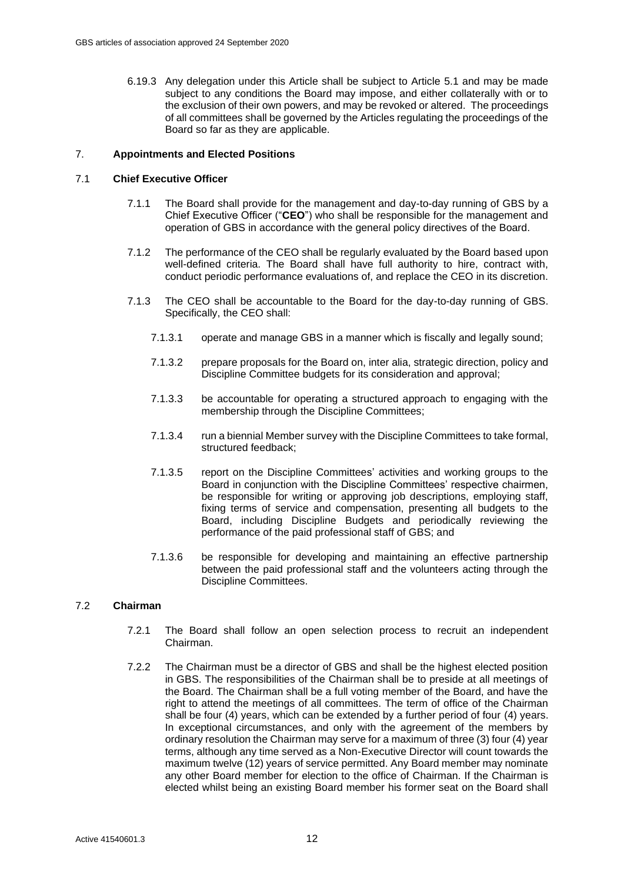6.19.3 Any delegation under this Article shall be subject to Article [5.1](#page-7-3) and may be made subject to any conditions the Board may impose, and either collaterally with or to the exclusion of their own powers, and may be revoked or altered. The proceedings of all committees shall be governed by the Articles regulating the proceedings of the Board so far as they are applicable.

# <span id="page-13-0"></span>7. **Appointments and Elected Positions**

# <span id="page-13-1"></span>7.1 **Chief Executive Officer**

- 7.1.1 The Board shall provide for the management and day-to-day running of GBS by a Chief Executive Officer ("**CEO**") who shall be responsible for the management and operation of GBS in accordance with the general policy directives of the Board.
- 7.1.2 The performance of the CEO shall be regularly evaluated by the Board based upon well-defined criteria. The Board shall have full authority to hire, contract with, conduct periodic performance evaluations of, and replace the CEO in its discretion.
- 7.1.3 The CEO shall be accountable to the Board for the day-to-day running of GBS. Specifically, the CEO shall:
	- 7.1.3.1 operate and manage GBS in a manner which is fiscally and legally sound;
	- 7.1.3.2 prepare proposals for the Board on, inter alia, strategic direction, policy and Discipline Committee budgets for its consideration and approval;
	- 7.1.3.3 be accountable for operating a structured approach to engaging with the membership through the Discipline Committees;
	- 7.1.3.4 run a biennial Member survey with the Discipline Committees to take formal, structured feedback;
	- 7.1.3.5 report on the Discipline Committees' activities and working groups to the Board in conjunction with the Discipline Committees' respective chairmen, be responsible for writing or approving job descriptions, employing staff, fixing terms of service and compensation, presenting all budgets to the Board, including Discipline Budgets and periodically reviewing the performance of the paid professional staff of GBS; and
	- 7.1.3.6 be responsible for developing and maintaining an effective partnership between the paid professional staff and the volunteers acting through the Discipline Committees.

# <span id="page-13-3"></span><span id="page-13-2"></span>7.2 **Chairman**

- 7.2.1 The Board shall follow an open selection process to recruit an independent Chairman.
- 7.2.2 The Chairman must be a director of GBS and shall be the highest elected position in GBS. The responsibilities of the Chairman shall be to preside at all meetings of the Board. The Chairman shall be a full voting member of the Board, and have the right to attend the meetings of all committees. The term of office of the Chairman shall be four (4) years, which can be extended by a further period of four (4) years. In exceptional circumstances, and only with the agreement of the members by ordinary resolution the Chairman may serve for a maximum of three (3) four (4) year terms, although any time served as a Non-Executive Director will count towards the maximum twelve (12) years of service permitted. Any Board member may nominate any other Board member for election to the office of Chairman. If the Chairman is elected whilst being an existing Board member his former seat on the Board shall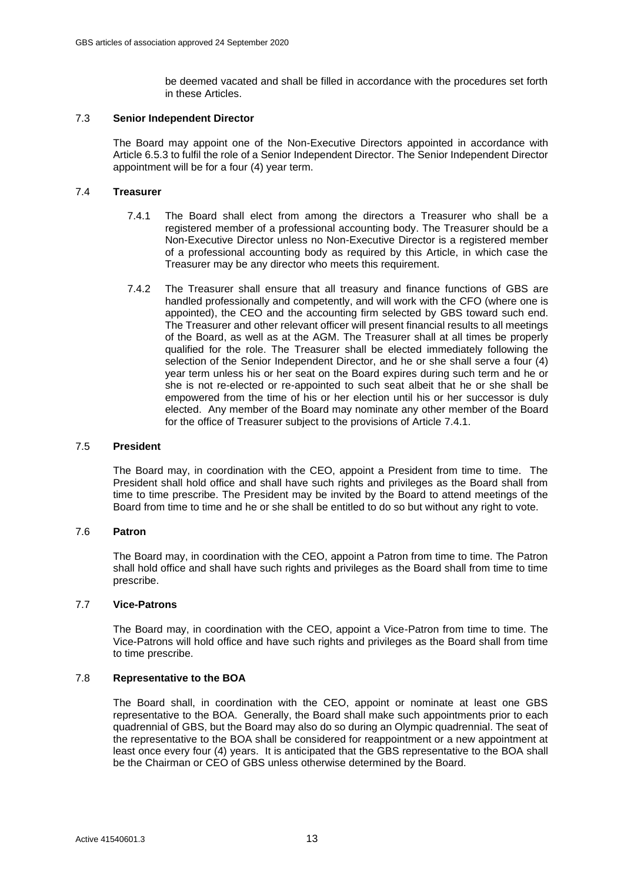be deemed vacated and shall be filled in accordance with the procedures set forth in these Articles.

#### <span id="page-14-0"></span>7.3 **Senior Independent Director**

The Board may appoint one of the Non-Executive Directors appointed in accordance with Article [6.5.3](#page-9-7) to fulfil the role of a Senior Independent Director. The Senior Independent Director appointment will be for a four (4) year term.

#### <span id="page-14-2"></span><span id="page-14-1"></span>7.4 **Treasurer**

- 7.4.1 The Board shall elect from among the directors a Treasurer who shall be a registered member of a professional accounting body. The Treasurer should be a Non-Executive Director unless no Non-Executive Director is a registered member of a professional accounting body as required by this Article, in which case the Treasurer may be any director who meets this requirement.
- 7.4.2 The Treasurer shall ensure that all treasury and finance functions of GBS are handled professionally and competently, and will work with the CFO (where one is appointed), the CEO and the accounting firm selected by GBS toward such end. The Treasurer and other relevant officer will present financial results to all meetings of the Board, as well as at the AGM. The Treasurer shall at all times be properly qualified for the role. The Treasurer shall be elected immediately following the selection of the Senior Independent Director, and he or she shall serve a four (4) year term unless his or her seat on the Board expires during such term and he or she is not re-elected or re-appointed to such seat albeit that he or she shall be empowered from the time of his or her election until his or her successor is duly elected. Any member of the Board may nominate any other member of the Board for the office of Treasurer subject to the provisions of Article [7.4.1.](#page-14-2)

#### 7.5 **President**

The Board may, in coordination with the CEO, appoint a President from time to time. The President shall hold office and shall have such rights and privileges as the Board shall from time to time prescribe. The President may be invited by the Board to attend meetings of the Board from time to time and he or she shall be entitled to do so but without any right to vote.

#### 7.6 **Patron**

The Board may, in coordination with the CEO, appoint a Patron from time to time. The Patron shall hold office and shall have such rights and privileges as the Board shall from time to time prescribe.

### 7.7 **Vice-Patrons**

The Board may, in coordination with the CEO, appoint a Vice-Patron from time to time. The Vice-Patrons will hold office and have such rights and privileges as the Board shall from time to time prescribe.

#### 7.8 **Representative to the BOA**

The Board shall, in coordination with the CEO, appoint or nominate at least one GBS representative to the BOA. Generally, the Board shall make such appointments prior to each quadrennial of GBS, but the Board may also do so during an Olympic quadrennial. The seat of the representative to the BOA shall be considered for reappointment or a new appointment at least once every four (4) years. It is anticipated that the GBS representative to the BOA shall be the Chairman or CEO of GBS unless otherwise determined by the Board.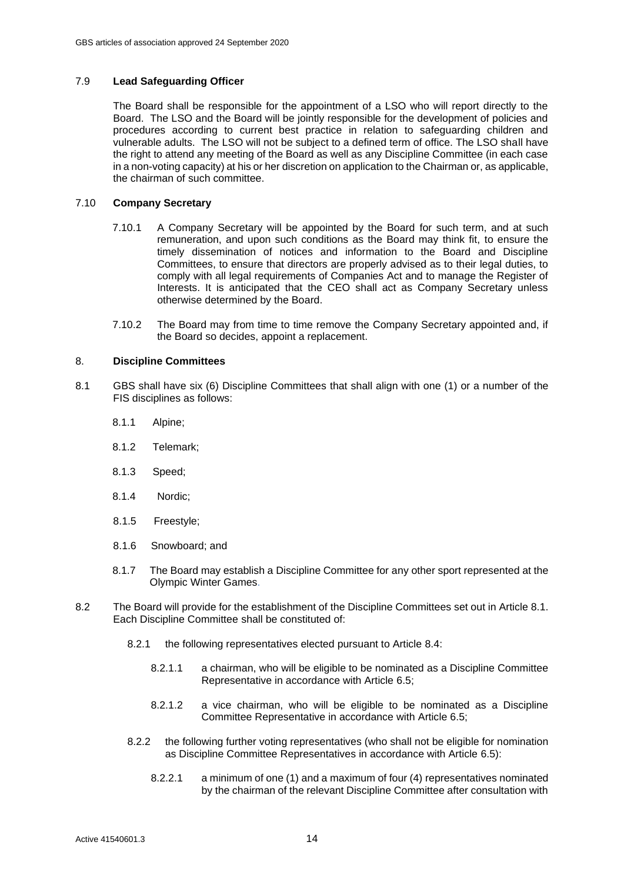# <span id="page-15-2"></span>7.9 **Lead Safeguarding Officer**

The Board shall be responsible for the appointment of a LSO who will report directly to the Board. The LSO and the Board will be jointly responsible for the development of policies and procedures according to current best practice in relation to safeguarding children and vulnerable adults. The LSO will not be subject to a defined term of office. The LSO shall have the right to attend any meeting of the Board as well as any Discipline Committee (in each case in a non-voting capacity) at his or her discretion on application to the Chairman or, as applicable, the chairman of such committee.

# 7.10 **Company Secretary**

- 7.10.1 A Company Secretary will be appointed by the Board for such term, and at such remuneration, and upon such conditions as the Board may think fit, to ensure the timely dissemination of notices and information to the Board and Discipline Committees, to ensure that directors are properly advised as to their legal duties, to comply with all legal requirements of Companies Act and to manage the Register of Interests. It is anticipated that the CEO shall act as Company Secretary unless otherwise determined by the Board.
- 7.10.2 The Board may from time to time remove the Company Secretary appointed and, if the Board so decides, appoint a replacement.

#### <span id="page-15-0"></span>8. **Discipline Committees**

- <span id="page-15-1"></span>8.1 GBS shall have six (6) Discipline Committees that shall align with one (1) or a number of the FIS disciplines as follows:
	- 8.1.1 Alpine;
	- 8.1.2 Telemark;
	- 8.1.3 Speed;
	- 8.1.4 Nordic;
	- 8.1.5 Freestyle;
	- 8.1.6 Snowboard; and
	- 8.1.7 The Board may establish a Discipline Committee for any other sport represented at the Olympic Winter Games.
- <span id="page-15-3"></span>8.2 The Board will provide for the establishment of the Discipline Committees set out in Article [8.1.](#page-15-1) Each Discipline Committee shall be constituted of:
	- 8.2.1 the following representatives elected pursuant to Article [8.4:](#page-16-0)
		- 8.2.1.1 a chairman, who will be eligible to be nominated as a Discipline Committee Representative in accordance with Article [6.5;](#page-8-0)
		- 8.2.1.2 a vice chairman, who will be eligible to be nominated as a Discipline Committee Representative in accordance with Article [6.5;](#page-8-0)
	- 8.2.2 the following further voting representatives (who shall not be eligible for nomination as Discipline Committee Representatives in accordance with Article [6.5\)](#page-8-0):
		- 8.2.2.1 a minimum of one (1) and a maximum of four (4) representatives nominated by the chairman of the relevant Discipline Committee after consultation with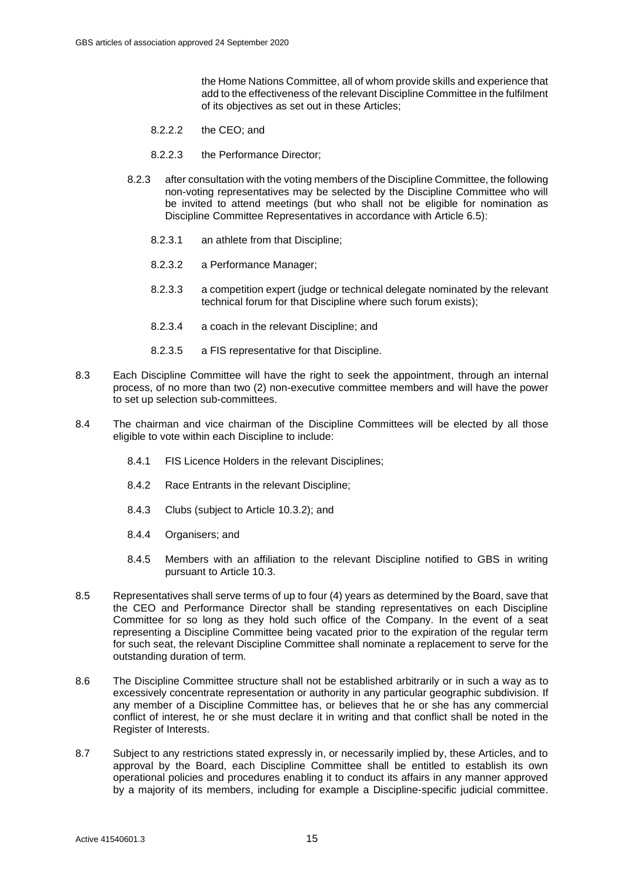the Home Nations Committee, all of whom provide skills and experience that add to the effectiveness of the relevant Discipline Committee in the fulfilment of its objectives as set out in these Articles;

- 8.2.2.2 the CEO; and
- 8.2.2.3 the Performance Director;
- 8.2.3 after consultation with the voting members of the Discipline Committee, the following non-voting representatives may be selected by the Discipline Committee who will be invited to attend meetings (but who shall not be eligible for nomination as Discipline Committee Representatives in accordance with Article [6.5\)](#page-8-0):
	- 8.2.3.1 an athlete from that Discipline;
	- 8.2.3.2 a Performance Manager;
	- 8.2.3.3 a competition expert (judge or technical delegate nominated by the relevant technical forum for that Discipline where such forum exists);
	- 8.2.3.4 a coach in the relevant Discipline; and
	- 8.2.3.5 a FIS representative for that Discipline.
- 8.3 Each Discipline Committee will have the right to seek the appointment, through an internal process, of no more than two (2) non-executive committee members and will have the power to set up selection sub-committees.
- <span id="page-16-0"></span>8.4 The chairman and vice chairman of the Discipline Committees will be elected by all those eligible to vote within each Discipline to include:
	- 8.4.1 FIS Licence Holders in the relevant Disciplines;
	- 8.4.2 Race Entrants in the relevant Discipline;
	- 8.4.3 Clubs (subject to Article [10.3.2\)](#page-19-1); and
	- 8.4.4 Organisers; and
	- 8.4.5 Members with an affiliation to the relevant Discipline notified to GBS in writing pursuant to Article [10.3.](#page-19-2)
- 8.5 Representatives shall serve terms of up to four (4) years as determined by the Board, save that the CEO and Performance Director shall be standing representatives on each Discipline Committee for so long as they hold such office of the Company. In the event of a seat representing a Discipline Committee being vacated prior to the expiration of the regular term for such seat, the relevant Discipline Committee shall nominate a replacement to serve for the outstanding duration of term.
- 8.6 The Discipline Committee structure shall not be established arbitrarily or in such a way as to excessively concentrate representation or authority in any particular geographic subdivision. If any member of a Discipline Committee has, or believes that he or she has any commercial conflict of interest, he or she must declare it in writing and that conflict shall be noted in the Register of Interests.
- 8.7 Subject to any restrictions stated expressly in, or necessarily implied by, these Articles, and to approval by the Board, each Discipline Committee shall be entitled to establish its own operational policies and procedures enabling it to conduct its affairs in any manner approved by a majority of its members, including for example a Discipline-specific judicial committee.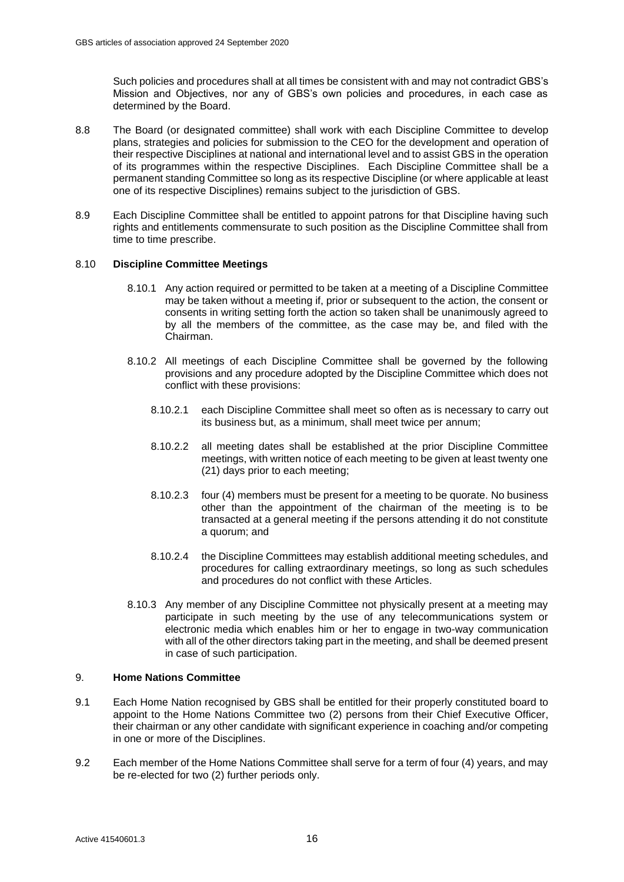Such policies and procedures shall at all times be consistent with and may not contradict GBS's Mission and Objectives, nor any of GBS's own policies and procedures, in each case as determined by the Board.

- 8.8 The Board (or designated committee) shall work with each Discipline Committee to develop plans, strategies and policies for submission to the CEO for the development and operation of their respective Disciplines at national and international level and to assist GBS in the operation of its programmes within the respective Disciplines. Each Discipline Committee shall be a permanent standing Committee so long as its respective Discipline (or where applicable at least one of its respective Disciplines) remains subject to the jurisdiction of GBS.
- 8.9 Each Discipline Committee shall be entitled to appoint patrons for that Discipline having such rights and entitlements commensurate to such position as the Discipline Committee shall from time to time prescribe.

# 8.10 **Discipline Committee Meetings**

- 8.10.1 Any action required or permitted to be taken at a meeting of a Discipline Committee may be taken without a meeting if, prior or subsequent to the action, the consent or consents in writing setting forth the action so taken shall be unanimously agreed to by all the members of the committee, as the case may be, and filed with the Chairman.
- 8.10.2 All meetings of each Discipline Committee shall be governed by the following provisions and any procedure adopted by the Discipline Committee which does not conflict with these provisions:
	- 8.10.2.1 each Discipline Committee shall meet so often as is necessary to carry out its business but, as a minimum, shall meet twice per annum;
	- 8.10.2.2 all meeting dates shall be established at the prior Discipline Committee meetings, with written notice of each meeting to be given at least twenty one (21) days prior to each meeting;
	- 8.10.2.3 four (4) members must be present for a meeting to be quorate. No business other than the appointment of the chairman of the meeting is to be transacted at a general meeting if the persons attending it do not constitute a quorum; and
	- 8.10.2.4 the Discipline Committees may establish additional meeting schedules, and procedures for calling extraordinary meetings, so long as such schedules and procedures do not conflict with these Articles.
- 8.10.3 Any member of any Discipline Committee not physically present at a meeting may participate in such meeting by the use of any telecommunications system or electronic media which enables him or her to engage in two-way communication with all of the other directors taking part in the meeting, and shall be deemed present in case of such participation.

#### <span id="page-17-0"></span>9. **Home Nations Committee**

- 9.1 Each Home Nation recognised by GBS shall be entitled for their properly constituted board to appoint to the Home Nations Committee two (2) persons from their Chief Executive Officer, their chairman or any other candidate with significant experience in coaching and/or competing in one or more of the Disciplines.
- 9.2 Each member of the Home Nations Committee shall serve for a term of four (4) years, and may be re-elected for two (2) further periods only.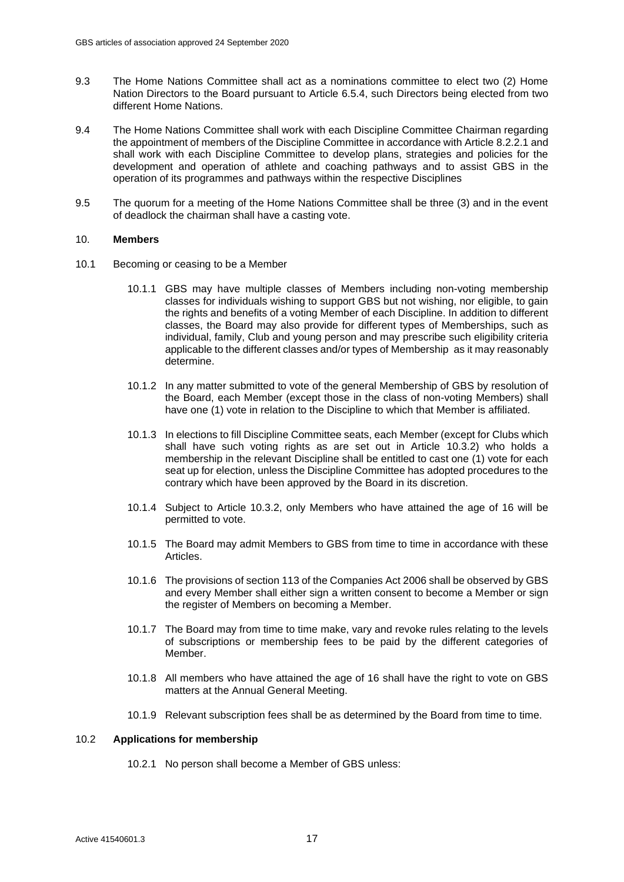- 9.3 The Home Nations Committee shall act as a nominations committee to elect two (2) Home Nation Directors to the Board pursuant to Article [6.5.4,](#page-9-8) such Directors being elected from two different Home Nations.
- 9.4 The Home Nations Committee shall work with each Discipline Committee Chairman regarding the appointment of members of the Discipline Committee in accordance with Articl[e 8.2.2.1](#page-15-3) and shall work with each Discipline Committee to develop plans, strategies and policies for the development and operation of athlete and coaching pathways and to assist GBS in the operation of its programmes and pathways within the respective Disciplines
- 9.5 The quorum for a meeting of the Home Nations Committee shall be three (3) and in the event of deadlock the chairman shall have a casting vote.

#### <span id="page-18-0"></span>10. **Members**

- 10.1 Becoming or ceasing to be a Member
	- 10.1.1 GBS may have multiple classes of Members including non-voting membership classes for individuals wishing to support GBS but not wishing, nor eligible, to gain the rights and benefits of a voting Member of each Discipline. In addition to different classes, the Board may also provide for different types of Memberships, such as individual, family, Club and young person and may prescribe such eligibility criteria applicable to the different classes and/or types of Membership as it may reasonably determine.
	- 10.1.2 In any matter submitted to vote of the general Membership of GBS by resolution of the Board, each Member (except those in the class of non-voting Members) shall have one (1) vote in relation to the Discipline to which that Member is affiliated.
	- 10.1.3 In elections to fill Discipline Committee seats, each Member (except for Clubs which shall have such voting rights as are set out in Article [10.3.2\)](#page-19-1) who holds a membership in the relevant Discipline shall be entitled to cast one (1) vote for each seat up for election, unless the Discipline Committee has adopted procedures to the contrary which have been approved by the Board in its discretion.
	- 10.1.4 Subject to Article [10.3.2,](#page-19-1) only Members who have attained the age of 16 will be permitted to vote.
	- 10.1.5 The Board may admit Members to GBS from time to time in accordance with these Articles.
	- 10.1.6 The provisions of section 113 of the Companies Act 2006 shall be observed by GBS and every Member shall either sign a written consent to become a Member or sign the register of Members on becoming a Member.
	- 10.1.7 The Board may from time to time make, vary and revoke rules relating to the levels of subscriptions or membership fees to be paid by the different categories of Member.
	- 10.1.8 All members who have attained the age of 16 shall have the right to vote on GBS matters at the Annual General Meeting.
	- 10.1.9 Relevant subscription fees shall be as determined by the Board from time to time.

# 10.2 **Applications for membership**

10.2.1 No person shall become a Member of GBS unless: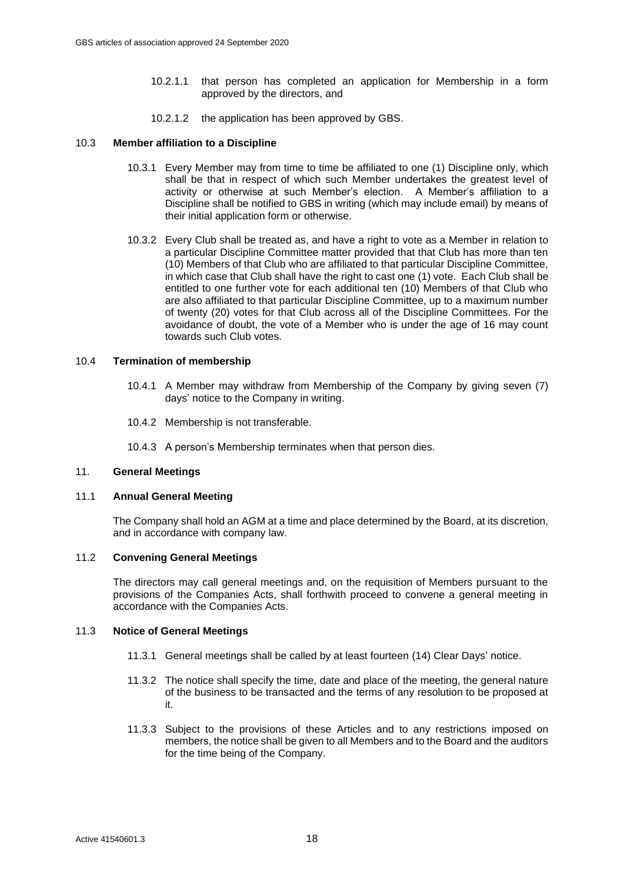- 10.2.1.1 that person has completed an application for Membership in a form approved by the directors, and
- 10.2.1.2 the application has been approved by GBS.

#### <span id="page-19-2"></span>10.3 **Member affiliation to a Discipline**

- 10.3.1 Every Member may from time to time be affiliated to one (1) Discipline only, which shall be that in respect of which such Member undertakes the greatest level of activity or otherwise at such Member's election. A Member's affiliation to a Discipline shall be notified to GBS in writing (which may include email) by means of their initial application form or otherwise.
- <span id="page-19-1"></span>10.3.2 Every Club shall be treated as, and have a right to vote as a Member in relation to a particular Discipline Committee matter provided that that Club has more than ten (10) Members of that Club who are affiliated to that particular Discipline Committee, in which case that Club shall have the right to cast one (1) vote. Each Club shall be entitled to one further vote for each additional ten (10) Members of that Club who are also affiliated to that particular Discipline Committee, up to a maximum number of twenty (20) votes for that Club across all of the Discipline Committees. For the avoidance of doubt, the vote of a Member who is under the age of 16 may count towards such Club votes.

#### 10.4 **Termination of membership**

- 10.4.1 A Member may withdraw from Membership of the Company by giving seven (7) days' notice to the Company in writing.
- 10.4.2 Membership is not transferable.

10.4.3 A person's Membership terminates when that person dies.

#### <span id="page-19-0"></span>11. **General Meetings**

#### 11.1 **Annual General Meeting**

The Company shall hold an AGM at a time and place determined by the Board, at its discretion, and in accordance with company law.

# 11.2 **Convening General Meetings**

The directors may call general meetings and, on the requisition of Members pursuant to the provisions of the Companies Acts, shall forthwith proceed to convene a general meeting in accordance with the Companies Acts.

#### 11.3 **Notice of General Meetings**

- 11.3.1 General meetings shall be called by at least fourteen (14) Clear Days' notice.
- 11.3.2 The notice shall specify the time, date and place of the meeting, the general nature of the business to be transacted and the terms of any resolution to be proposed at it.
- 11.3.3 Subject to the provisions of these Articles and to any restrictions imposed on members, the notice shall be given to all Members and to the Board and the auditors for the time being of the Company.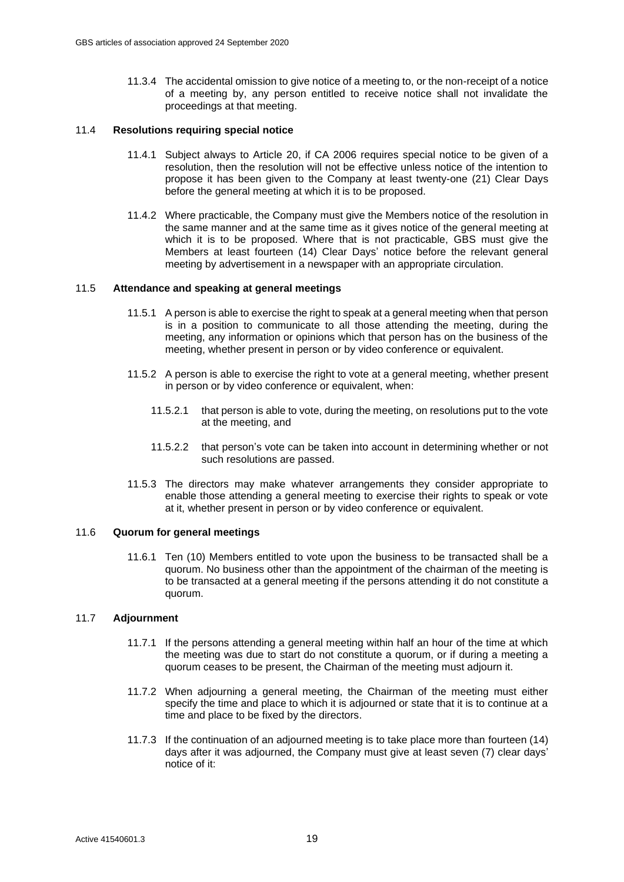11.3.4 The accidental omission to give notice of a meeting to, or the non-receipt of a notice of a meeting by, any person entitled to receive notice shall not invalidate the proceedings at that meeting.

#### 11.4 **Resolutions requiring special notice**

- 11.4.1 Subject always to Article [20,](#page-26-2) if CA 2006 requires special notice to be given of a resolution, then the resolution will not be effective unless notice of the intention to propose it has been given to the Company at least twenty-one (21) Clear Days before the general meeting at which it is to be proposed.
- 11.4.2 Where practicable, the Company must give the Members notice of the resolution in the same manner and at the same time as it gives notice of the general meeting at which it is to be proposed. Where that is not practicable, GBS must give the Members at least fourteen (14) Clear Days' notice before the relevant general meeting by advertisement in a newspaper with an appropriate circulation.

#### 11.5 **Attendance and speaking at general meetings**

- 11.5.1 A person is able to exercise the right to speak at a general meeting when that person is in a position to communicate to all those attending the meeting, during the meeting, any information or opinions which that person has on the business of the meeting, whether present in person or by video conference or equivalent.
- 11.5.2 A person is able to exercise the right to vote at a general meeting, whether present in person or by video conference or equivalent, when:
	- 11.5.2.1 that person is able to vote, during the meeting, on resolutions put to the vote at the meeting, and
	- 11.5.2.2 that person's vote can be taken into account in determining whether or not such resolutions are passed.
- 11.5.3 The directors may make whatever arrangements they consider appropriate to enable those attending a general meeting to exercise their rights to speak or vote at it, whether present in person or by video conference or equivalent.

#### 11.6 **Quorum for general meetings**

11.6.1 Ten (10) Members entitled to vote upon the business to be transacted shall be a quorum. No business other than the appointment of the chairman of the meeting is to be transacted at a general meeting if the persons attending it do not constitute a quorum.

#### 11.7 **Adjournment**

- 11.7.1 If the persons attending a general meeting within half an hour of the time at which the meeting was due to start do not constitute a quorum, or if during a meeting a quorum ceases to be present, the Chairman of the meeting must adjourn it.
- 11.7.2 When adjourning a general meeting, the Chairman of the meeting must either specify the time and place to which it is adjourned or state that it is to continue at a time and place to be fixed by the directors.
- 11.7.3 If the continuation of an adjourned meeting is to take place more than fourteen (14) days after it was adjourned, the Company must give at least seven (7) clear days' notice of it: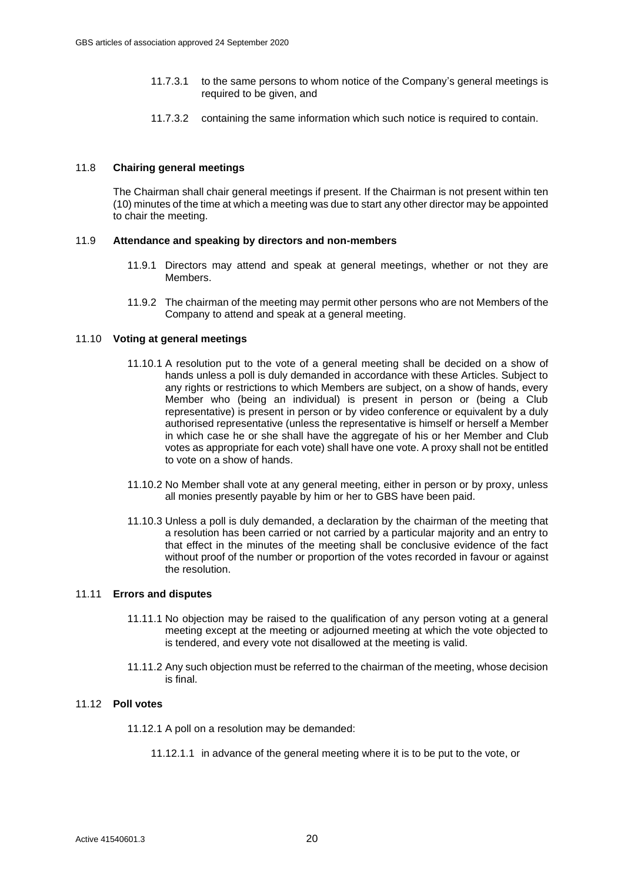- 11.7.3.1 to the same persons to whom notice of the Company's general meetings is required to be given, and
- 11.7.3.2 containing the same information which such notice is required to contain.

# 11.8 **Chairing general meetings**

The Chairman shall chair general meetings if present. If the Chairman is not present within ten (10) minutes of the time at which a meeting was due to start any other director may be appointed to chair the meeting.

# 11.9 **Attendance and speaking by directors and non-members**

- 11.9.1 Directors may attend and speak at general meetings, whether or not they are **Members**
- 11.9.2 The chairman of the meeting may permit other persons who are not Members of the Company to attend and speak at a general meeting.

# 11.10 **Voting at general meetings**

- 11.10.1 A resolution put to the vote of a general meeting shall be decided on a show of hands unless a poll is duly demanded in accordance with these Articles. Subject to any rights or restrictions to which Members are subject, on a show of hands, every Member who (being an individual) is present in person or (being a Club representative) is present in person or by video conference or equivalent by a duly authorised representative (unless the representative is himself or herself a Member in which case he or she shall have the aggregate of his or her Member and Club votes as appropriate for each vote) shall have one vote. A proxy shall not be entitled to vote on a show of hands.
- 11.10.2 No Member shall vote at any general meeting, either in person or by proxy, unless all monies presently payable by him or her to GBS have been paid.
- 11.10.3 Unless a poll is duly demanded, a declaration by the chairman of the meeting that a resolution has been carried or not carried by a particular majority and an entry to that effect in the minutes of the meeting shall be conclusive evidence of the fact without proof of the number or proportion of the votes recorded in favour or against the resolution.

#### 11.11 **Errors and disputes**

- 11.11.1 No objection may be raised to the qualification of any person voting at a general meeting except at the meeting or adjourned meeting at which the vote objected to is tendered, and every vote not disallowed at the meeting is valid.
- 11.11.2 Any such objection must be referred to the chairman of the meeting, whose decision is final.

# 11.12 **Poll votes**

- 11.12.1 A poll on a resolution may be demanded:
	- 11.12.1.1 in advance of the general meeting where it is to be put to the vote, or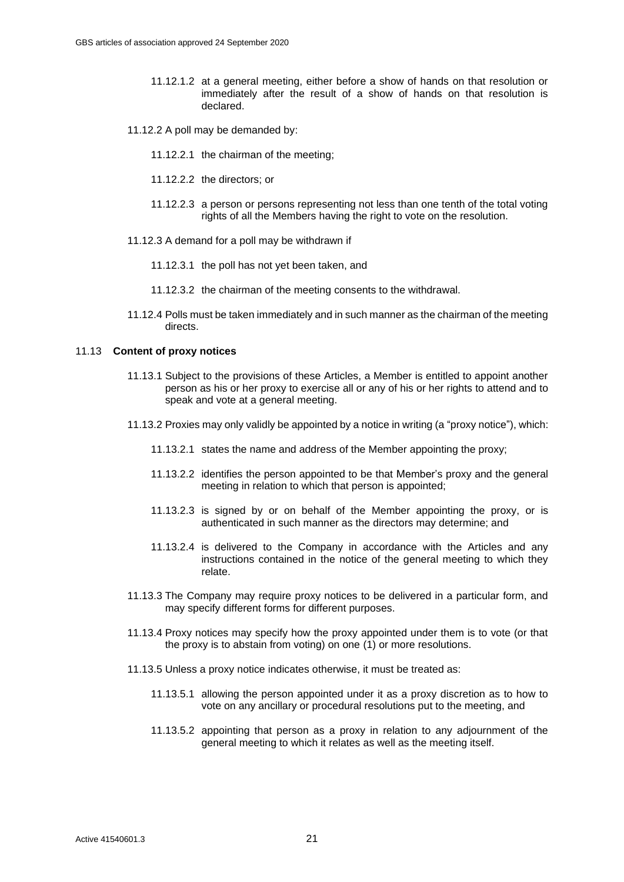- 11.12.1.2 at a general meeting, either before a show of hands on that resolution or immediately after the result of a show of hands on that resolution is declared.
- 11.12.2 A poll may be demanded by:
	- 11.12.2.1 the chairman of the meeting;
	- 11.12.2.2 the directors; or
	- 11.12.2.3 a person or persons representing not less than one tenth of the total voting rights of all the Members having the right to vote on the resolution.
- 11.12.3 A demand for a poll may be withdrawn if
	- 11.12.3.1 the poll has not yet been taken, and
	- 11.12.3.2 the chairman of the meeting consents to the withdrawal.
- 11.12.4 Polls must be taken immediately and in such manner as the chairman of the meeting directs.

#### <span id="page-22-0"></span>11.13 **Content of proxy notices**

- 11.13.1 Subject to the provisions of these Articles, a Member is entitled to appoint another person as his or her proxy to exercise all or any of his or her rights to attend and to speak and vote at a general meeting.
- 11.13.2 Proxies may only validly be appointed by a notice in writing (a "proxy notice"), which:
	- 11.13.2.1 states the name and address of the Member appointing the proxy;
	- 11.13.2.2 identifies the person appointed to be that Member's proxy and the general meeting in relation to which that person is appointed;
	- 11.13.2.3 is signed by or on behalf of the Member appointing the proxy, or is authenticated in such manner as the directors may determine; and
	- 11.13.2.4 is delivered to the Company in accordance with the Articles and any instructions contained in the notice of the general meeting to which they relate.
- 11.13.3 The Company may require proxy notices to be delivered in a particular form, and may specify different forms for different purposes.
- 11.13.4 Proxy notices may specify how the proxy appointed under them is to vote (or that the proxy is to abstain from voting) on one (1) or more resolutions.
- 11.13.5 Unless a proxy notice indicates otherwise, it must be treated as:
	- 11.13.5.1 allowing the person appointed under it as a proxy discretion as to how to vote on any ancillary or procedural resolutions put to the meeting, and
	- 11.13.5.2 appointing that person as a proxy in relation to any adjournment of the general meeting to which it relates as well as the meeting itself.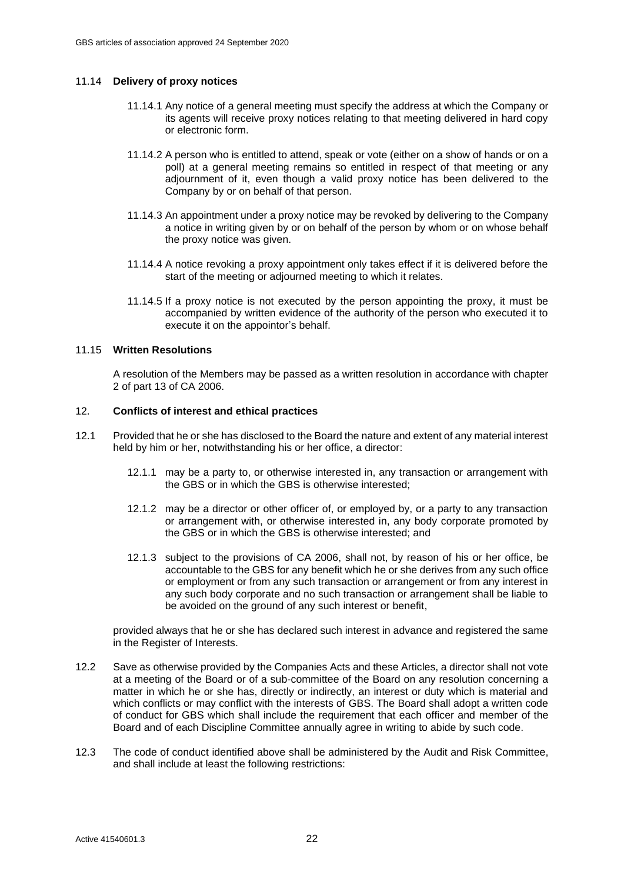# 11.14 **Delivery of proxy notices**

- 11.14.1 Any notice of a general meeting must specify the address at which the Company or its agents will receive proxy notices relating to that meeting delivered in hard copy or electronic form.
- 11.14.2 A person who is entitled to attend, speak or vote (either on a show of hands or on a poll) at a general meeting remains so entitled in respect of that meeting or any adjournment of it, even though a valid proxy notice has been delivered to the Company by or on behalf of that person.
- 11.14.3 An appointment under a proxy notice may be revoked by delivering to the Company a notice in writing given by or on behalf of the person by whom or on whose behalf the proxy notice was given.
- 11.14.4 A notice revoking a proxy appointment only takes effect if it is delivered before the start of the meeting or adjourned meeting to which it relates.
- 11.14.5 If a proxy notice is not executed by the person appointing the proxy, it must be accompanied by written evidence of the authority of the person who executed it to execute it on the appointor's behalf.

#### 11.15 **Written Resolutions**

A resolution of the Members may be passed as a written resolution in accordance with chapter 2 of part 13 of CA 2006.

#### <span id="page-23-0"></span>12. **Conflicts of interest and ethical practices**

- 12.1 Provided that he or she has disclosed to the Board the nature and extent of any material interest held by him or her, notwithstanding his or her office, a director:
	- 12.1.1 may be a party to, or otherwise interested in, any transaction or arrangement with the GBS or in which the GBS is otherwise interested;
	- 12.1.2 may be a director or other officer of, or employed by, or a party to any transaction or arrangement with, or otherwise interested in, any body corporate promoted by the GBS or in which the GBS is otherwise interested; and
	- 12.1.3 subject to the provisions of CA 2006, shall not, by reason of his or her office, be accountable to the GBS for any benefit which he or she derives from any such office or employment or from any such transaction or arrangement or from any interest in any such body corporate and no such transaction or arrangement shall be liable to be avoided on the ground of any such interest or benefit,

provided always that he or she has declared such interest in advance and registered the same in the Register of Interests.

- 12.2 Save as otherwise provided by the Companies Acts and these Articles, a director shall not vote at a meeting of the Board or of a sub-committee of the Board on any resolution concerning a matter in which he or she has, directly or indirectly, an interest or duty which is material and which conflicts or may conflict with the interests of GBS. The Board shall adopt a written code of conduct for GBS which shall include the requirement that each officer and member of the Board and of each Discipline Committee annually agree in writing to abide by such code.
- 12.3 The code of conduct identified above shall be administered by the Audit and Risk Committee, and shall include at least the following restrictions: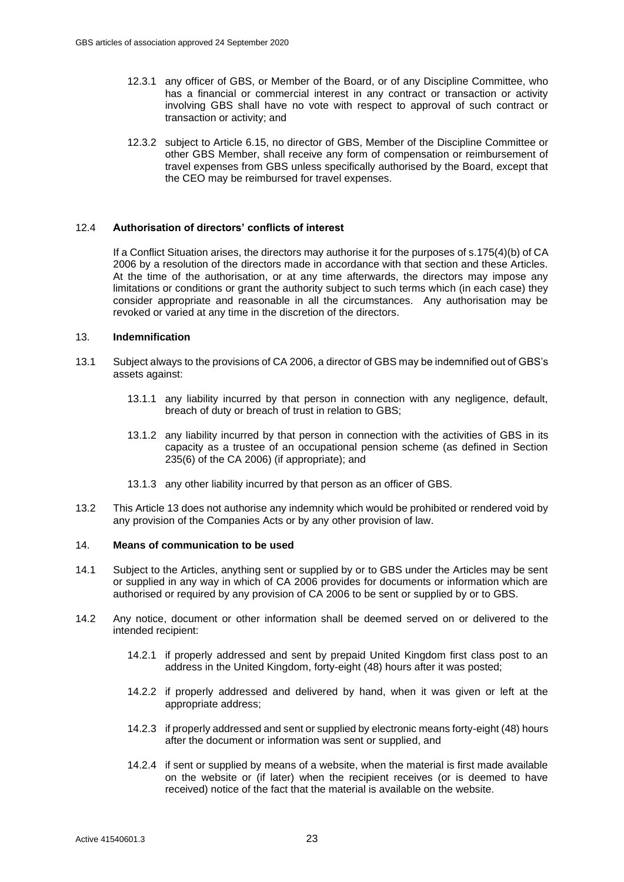- 12.3.1 any officer of GBS, or Member of the Board, or of any Discipline Committee, who has a financial or commercial interest in any contract or transaction or activity involving GBS shall have no vote with respect to approval of such contract or transaction or activity; and
- 12.3.2 subject to Article [6.15,](#page-11-0) no director of GBS, Member of the Discipline Committee or other GBS Member, shall receive any form of compensation or reimbursement of travel expenses from GBS unless specifically authorised by the Board, except that the CEO may be reimbursed for travel expenses.

# 12.4 **Authorisation of directors' conflicts of interest**

If a Conflict Situation arises, the directors may authorise it for the purposes of s.175(4)(b) of CA 2006 by a resolution of the directors made in accordance with that section and these Articles. At the time of the authorisation, or at any time afterwards, the directors may impose any limitations or conditions or grant the authority subject to such terms which (in each case) they consider appropriate and reasonable in all the circumstances. Any authorisation may be revoked or varied at any time in the discretion of the directors.

# <span id="page-24-0"></span>13. **Indemnification**

- 13.1 Subject always to the provisions of CA 2006, a director of GBS may be indemnified out of GBS's assets against:
	- 13.1.1 any liability incurred by that person in connection with any negligence, default, breach of duty or breach of trust in relation to GBS;
	- 13.1.2 any liability incurred by that person in connection with the activities of GBS in its capacity as a trustee of an occupational pension scheme (as defined in Section 235(6) of the CA 2006) (if appropriate); and
	- 13.1.3 any other liability incurred by that person as an officer of GBS.
- 13.2 This Articl[e 13](#page-24-0) does not authorise any indemnity which would be prohibited or rendered void by any provision of the Companies Acts or by any other provision of law.

# <span id="page-24-1"></span>14. **Means of communication to be used**

- 14.1 Subject to the Articles, anything sent or supplied by or to GBS under the Articles may be sent or supplied in any way in which of CA 2006 provides for documents or information which are authorised or required by any provision of CA 2006 to be sent or supplied by or to GBS.
- <span id="page-24-2"></span>14.2 Any notice, document or other information shall be deemed served on or delivered to the intended recipient:
	- 14.2.1 if properly addressed and sent by prepaid United Kingdom first class post to an address in the United Kingdom, forty-eight (48) hours after it was posted;
	- 14.2.2 if properly addressed and delivered by hand, when it was given or left at the appropriate address;
	- 14.2.3 if properly addressed and sent or supplied by electronic means forty-eight (48) hours after the document or information was sent or supplied, and
	- 14.2.4 if sent or supplied by means of a website, when the material is first made available on the website or (if later) when the recipient receives (or is deemed to have received) notice of the fact that the material is available on the website.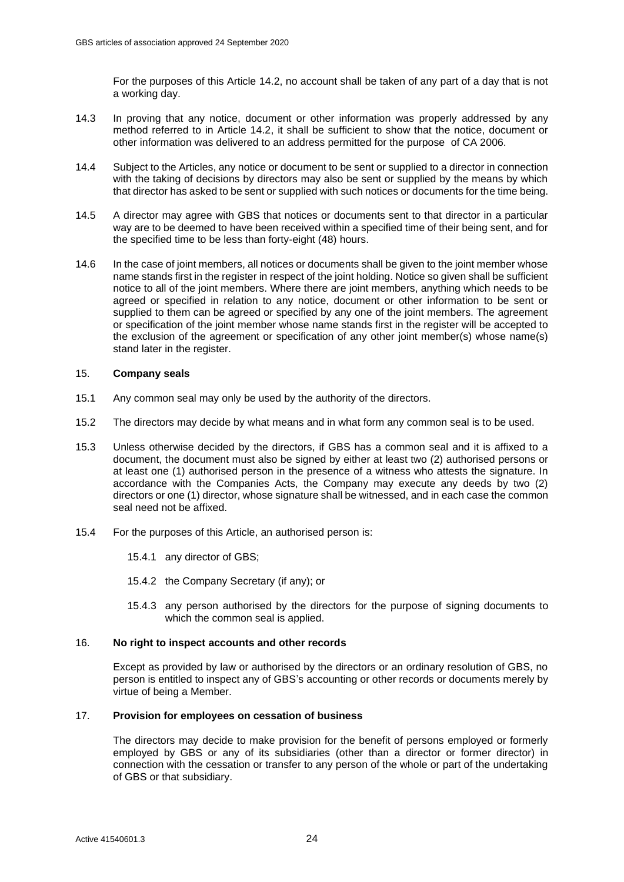For the purposes of this Article [14.2,](#page-24-2) no account shall be taken of any part of a day that is not a working day.

- 14.3 In proving that any notice, document or other information was properly addressed by any method referred to in Article 14.2, it shall be sufficient to show that the notice, document or other information was delivered to an address permitted for the purpose of CA 2006.
- 14.4 Subject to the Articles, any notice or document to be sent or supplied to a director in connection with the taking of decisions by directors may also be sent or supplied by the means by which that director has asked to be sent or supplied with such notices or documents for the time being.
- 14.5 A director may agree with GBS that notices or documents sent to that director in a particular way are to be deemed to have been received within a specified time of their being sent, and for the specified time to be less than forty-eight (48) hours.
- 14.6 In the case of joint members, all notices or documents shall be given to the joint member whose name stands first in the register in respect of the joint holding. Notice so given shall be sufficient notice to all of the joint members. Where there are joint members, anything which needs to be agreed or specified in relation to any notice, document or other information to be sent or supplied to them can be agreed or specified by any one of the joint members. The agreement or specification of the joint member whose name stands first in the register will be accepted to the exclusion of the agreement or specification of any other joint member(s) whose name(s) stand later in the register.

#### <span id="page-25-0"></span>15. **Company seals**

- 15.1 Any common seal may only be used by the authority of the directors.
- 15.2 The directors may decide by what means and in what form any common seal is to be used.
- 15.3 Unless otherwise decided by the directors, if GBS has a common seal and it is affixed to a document, the document must also be signed by either at least two (2) authorised persons or at least one (1) authorised person in the presence of a witness who attests the signature. In accordance with the Companies Acts, the Company may execute any deeds by two (2) directors or one (1) director, whose signature shall be witnessed, and in each case the common seal need not be affixed.
- 15.4 For the purposes of this Article, an authorised person is:
	- 15.4.1 any director of GBS;
	- 15.4.2 the Company Secretary (if any); or
	- 15.4.3 any person authorised by the directors for the purpose of signing documents to which the common seal is applied.

#### <span id="page-25-1"></span>16. **No right to inspect accounts and other records**

Except as provided by law or authorised by the directors or an ordinary resolution of GBS, no person is entitled to inspect any of GBS's accounting or other records or documents merely by virtue of being a Member.

# <span id="page-25-2"></span>17. **Provision for employees on cessation of business**

The directors may decide to make provision for the benefit of persons employed or formerly employed by GBS or any of its subsidiaries (other than a director or former director) in connection with the cessation or transfer to any person of the whole or part of the undertaking of GBS or that subsidiary.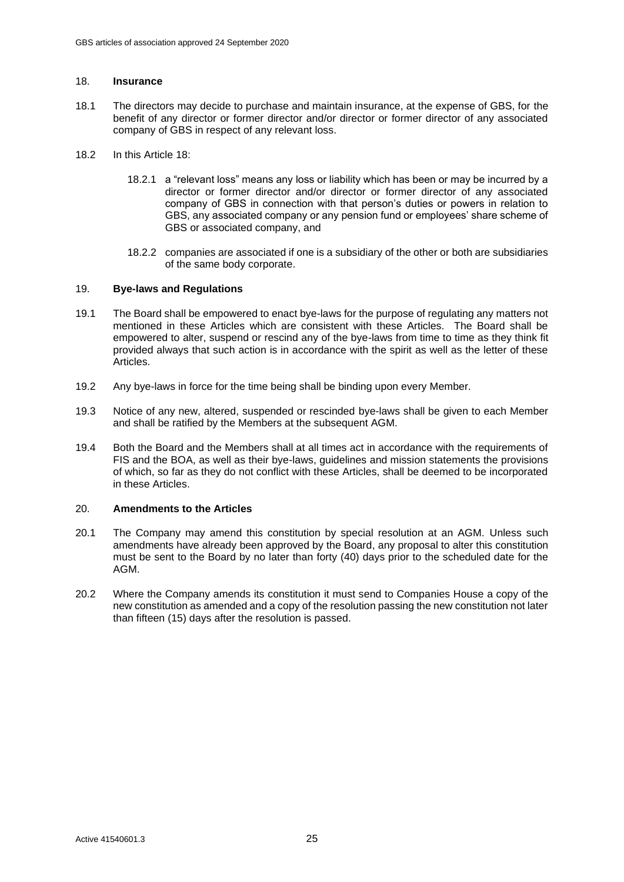#### <span id="page-26-0"></span>18. **Insurance**

- 18.1 The directors may decide to purchase and maintain insurance, at the expense of GBS, for the benefit of any director or former director and/or director or former director of any associated company of GBS in respect of any relevant loss.
- 18.2 In this Article [18:](#page-26-0)
	- 18.2.1 a "relevant loss" means any loss or liability which has been or may be incurred by a director or former director and/or director or former director of any associated company of GBS in connection with that person's duties or powers in relation to GBS, any associated company or any pension fund or employees' share scheme of GBS or associated company, and
	- 18.2.2 companies are associated if one is a subsidiary of the other or both are subsidiaries of the same body corporate.

#### <span id="page-26-1"></span>19. **Bye-laws and Regulations**

- 19.1 The Board shall be empowered to enact bye-laws for the purpose of regulating any matters not mentioned in these Articles which are consistent with these Articles. The Board shall be empowered to alter, suspend or rescind any of the bye-laws from time to time as they think fit provided always that such action is in accordance with the spirit as well as the letter of these Articles.
- 19.2 Any bye-laws in force for the time being shall be binding upon every Member.
- 19.3 Notice of any new, altered, suspended or rescinded bye-laws shall be given to each Member and shall be ratified by the Members at the subsequent AGM.
- 19.4 Both the Board and the Members shall at all times act in accordance with the requirements of FIS and the BOA, as well as their bye-laws, guidelines and mission statements the provisions of which, so far as they do not conflict with these Articles, shall be deemed to be incorporated in these Articles.

#### <span id="page-26-2"></span>20. **Amendments to the Articles**

- 20.1 The Company may amend this constitution by special resolution at an AGM. Unless such amendments have already been approved by the Board, any proposal to alter this constitution must be sent to the Board by no later than forty (40) days prior to the scheduled date for the AGM.
- 20.2 Where the Company amends its constitution it must send to Companies House a copy of the new constitution as amended and a copy of the resolution passing the new constitution not later than fifteen (15) days after the resolution is passed.